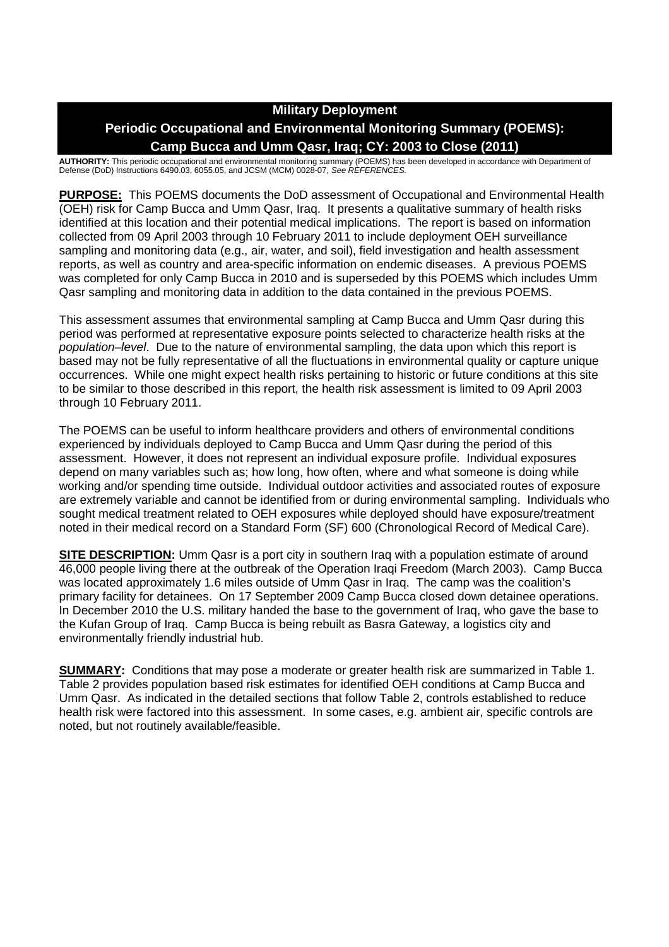## **Military Deployment**

## **Periodic Occupational and Environmental Monitoring Summary (POEMS): Camp Bucca and Umm Qasr, Iraq; CY: 2003 to Close (2011)**

**AUTHORITY:** This periodic occupational and environmental monitoring summary (POEMS) has been developed in accordance with Department of Defense (DoD) Instructions 6490.03, 6055.05, and JCSM (MCM) 0028-07, *See REFERENCES.*

**PURPOSE:** This POEMS documents the DoD assessment of Occupational and Environmental Health (OEH) risk for Camp Bucca and Umm Qasr, Iraq. It presents a qualitative summary of health risks identified at this location and their potential medical implications. The report is based on information collected from 09 April 2003 through 10 February 2011 to include deployment OEH surveillance sampling and monitoring data (e.g., air, water, and soil), field investigation and health assessment reports, as well as country and area-specific information on endemic diseases. A previous POEMS was completed for only Camp Bucca in 2010 and is superseded by this POEMS which includes Umm Qasr sampling and monitoring data in addition to the data contained in the previous POEMS.

This assessment assumes that environmental sampling at Camp Bucca and Umm Qasr during this period was performed at representative exposure points selected to characterize health risks at the *population–level*. Due to the nature of environmental sampling, the data upon which this report is based may not be fully representative of all the fluctuations in environmental quality or capture unique occurrences. While one might expect health risks pertaining to historic or future conditions at this site to be similar to those described in this report, the health risk assessment is limited to 09 April 2003 through 10 February 2011.

The POEMS can be useful to inform healthcare providers and others of environmental conditions experienced by individuals deployed to Camp Bucca and Umm Qasr during the period of this assessment. However, it does not represent an individual exposure profile. Individual exposures depend on many variables such as; how long, how often, where and what someone is doing while working and/or spending time outside. Individual outdoor activities and associated routes of exposure are extremely variable and cannot be identified from or during environmental sampling. Individuals who sought medical treatment related to OEH exposures while deployed should have exposure/treatment noted in their medical record on a Standard Form (SF) 600 (Chronological Record of Medical Care).

**SITE DESCRIPTION:** Umm Qasr is a port city in southern Iraq with a population estimate of around 46,000 people living there at the outbreak of the Operation Iraqi Freedom (March 2003). Camp Bucca was located approximately 1.6 miles outside of Umm Qasr in Iraq. The camp was the coalition's primary facility for detainees. On 17 September 2009 Camp Bucca closed down detainee operations. In December 2010 the U.S. military handed the base to the government of Iraq, who gave the base to the Kufan Group of Iraq. Camp Bucca is being rebuilt as Basra Gateway, a logistics city and environmentally friendly industrial hub.

**SUMMARY:** Conditions that may pose a moderate or greater health risk are summarized in Table 1. Table 2 provides population based risk estimates for identified OEH conditions at Camp Bucca and Umm Qasr. As indicated in the detailed sections that follow Table 2, controls established to reduce health risk were factored into this assessment. In some cases, e.g. ambient air, specific controls are noted, but not routinely available/feasible.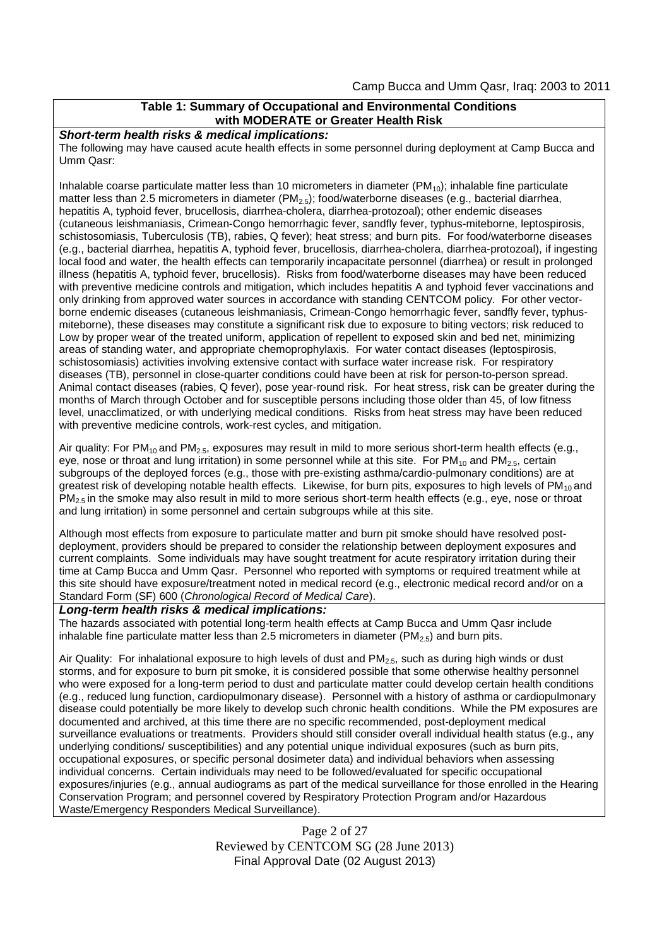## **Table 1: Summary of Occupational and Environmental Conditions with MODERATE or Greater Health Risk**

*Short-term health risks & medical implications:*

The following may have caused acute health effects in some personnel during deployment at Camp Bucca and Umm Qasr:

Inhalable coarse particulate matter less than 10 micrometers in diameter  $(PM_{10})$ ; inhalable fine particulate matter less than 2.5 micrometers in diameter ( $PM_{2.5}$ ); food/waterborne diseases (e.g., bacterial diarrhea, hepatitis A, typhoid fever, brucellosis, diarrhea-cholera, diarrhea-protozoal); other endemic diseases (cutaneous leishmaniasis, Crimean-Congo hemorrhagic fever, sandfly fever, typhus-miteborne, leptospirosis, schistosomiasis, Tuberculosis (TB), rabies, Q fever); heat stress; and burn pits. For food/waterborne diseases (e.g., bacterial diarrhea, hepatitis A, typhoid fever, brucellosis, diarrhea-cholera, diarrhea-protozoal), if ingesting local food and water, the health effects can temporarily incapacitate personnel (diarrhea) or result in prolonged illness (hepatitis A, typhoid fever, brucellosis). Risks from food/waterborne diseases may have been reduced with preventive medicine controls and mitigation, which includes hepatitis A and typhoid fever vaccinations and only drinking from approved water sources in accordance with standing CENTCOM policy. For other vectorborne endemic diseases (cutaneous leishmaniasis, Crimean-Congo hemorrhagic fever, sandfly fever, typhusmiteborne), these diseases may constitute a significant risk due to exposure to biting vectors; risk reduced to Low by proper wear of the treated uniform, application of repellent to exposed skin and bed net, minimizing areas of standing water, and appropriate chemoprophylaxis. For water contact diseases (leptospirosis, schistosomiasis) activities involving extensive contact with surface water increase risk. For respiratory diseases (TB), personnel in close-quarter conditions could have been at risk for person-to-person spread. Animal contact diseases (rabies, Q fever), pose year-round risk. For heat stress, risk can be greater during the months of March through October and for susceptible persons including those older than 45, of low fitness level, unacclimatized, or with underlying medical conditions. Risks from heat stress may have been reduced with preventive medicine controls, work-rest cycles, and mitigation.

Air quality: For PM<sub>10</sub> and PM<sub>2.5</sub>, exposures may result in mild to more serious short-term health effects (e.g., eye, nose or throat and lung irritation) in some personnel while at this site. For  $PM_{10}$  and  $PM_{2.5}$ , certain subgroups of the deployed forces (e.g., those with pre-existing asthma/cardio-pulmonary conditions) are at greatest risk of developing notable health effects. Likewise, for burn pits, exposures to high levels of PM<sub>10</sub> and  $PM<sub>2.5</sub>$  in the smoke may also result in mild to more serious short-term health effects (e.g., eye, nose or throat and lung irritation) in some personnel and certain subgroups while at this site.

Although most effects from exposure to particulate matter and burn pit smoke should have resolved postdeployment, providers should be prepared to consider the relationship between deployment exposures and current complaints. Some individuals may have sought treatment for acute respiratory irritation during their time at Camp Bucca and Umm Qasr. Personnel who reported with symptoms or required treatment while at this site should have exposure/treatment noted in medical record (e.g., electronic medical record and/or on a Standard Form (SF) 600 (*Chronological Record of Medical Care*).

### *Long-term health risks & medical implications:*

The hazards associated with potential long-term health effects at Camp Bucca and Umm Qasr include inhalable fine particulate matter less than 2.5 micrometers in diameter ( $PM_{2.5}$ ) and burn pits.

Air Quality: For inhalational exposure to high levels of dust and  $PM_{2.5}$ , such as during high winds or dust storms, and for exposure to burn pit smoke, it is considered possible that some otherwise healthy personnel who were exposed for a long-term period to dust and particulate matter could develop certain health conditions (e.g., reduced lung function, cardiopulmonary disease). Personnel with a history of asthma or cardiopulmonary disease could potentially be more likely to develop such chronic health conditions. While the PM exposures are documented and archived, at this time there are no specific recommended, post-deployment medical surveillance evaluations or treatments. Providers should still consider overall individual health status (e.g., any underlying conditions/ susceptibilities) and any potential unique individual exposures (such as burn pits, occupational exposures, or specific personal dosimeter data) and individual behaviors when assessing individual concerns. Certain individuals may need to be followed/evaluated for specific occupational exposures/injuries (e.g., annual audiograms as part of the medical surveillance for those enrolled in the Hearing Conservation Program; and personnel covered by Respiratory Protection Program and/or Hazardous Waste/Emergency Responders Medical Surveillance).

> Page 2 of 27 Reviewed by CENTCOM SG (28 June 2013) Final Approval Date (02 August 2013)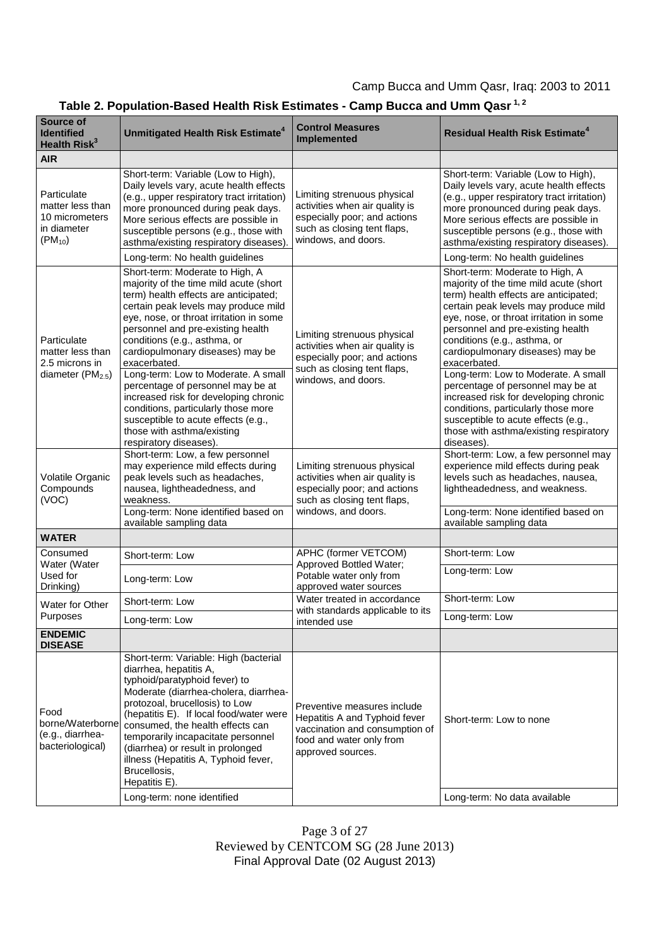# **Table 2. Population-Based Health Risk Estimates - Camp Bucca and Umm Qasr 1, 2**

| Source of<br><b>Identified</b><br>Health Risk <sup>3</sup>                         | Unmitigated Health Risk Estimate <sup>4</sup>                                                                                                                                                                                                                                                                                                                                                                                                                                                                                                                                             | <b>Control Measures</b><br><b>Implemented</b>                                                                                                       | <b>Residual Health Risk Estimate<sup>4</sup></b>                                                                                                                                                                                                                                                                                                                                                                                                                                                                                                                                          |
|------------------------------------------------------------------------------------|-------------------------------------------------------------------------------------------------------------------------------------------------------------------------------------------------------------------------------------------------------------------------------------------------------------------------------------------------------------------------------------------------------------------------------------------------------------------------------------------------------------------------------------------------------------------------------------------|-----------------------------------------------------------------------------------------------------------------------------------------------------|-------------------------------------------------------------------------------------------------------------------------------------------------------------------------------------------------------------------------------------------------------------------------------------------------------------------------------------------------------------------------------------------------------------------------------------------------------------------------------------------------------------------------------------------------------------------------------------------|
| <b>AIR</b>                                                                         |                                                                                                                                                                                                                                                                                                                                                                                                                                                                                                                                                                                           |                                                                                                                                                     |                                                                                                                                                                                                                                                                                                                                                                                                                                                                                                                                                                                           |
| Particulate<br>matter less than<br>10 micrometers<br>in diameter<br>$(PM_{10})$    | Short-term: Variable (Low to High),<br>Daily levels vary, acute health effects<br>(e.g., upper respiratory tract irritation)<br>more pronounced during peak days.<br>More serious effects are possible in<br>susceptible persons (e.g., those with<br>asthma/existing respiratory diseases)<br>Long-term: No health guidelines                                                                                                                                                                                                                                                            | Limiting strenuous physical<br>activities when air quality is<br>especially poor; and actions<br>such as closing tent flaps,<br>windows, and doors. | Short-term: Variable (Low to High),<br>Daily levels vary, acute health effects<br>(e.g., upper respiratory tract irritation)<br>more pronounced during peak days.<br>More serious effects are possible in<br>susceptible persons (e.g., those with<br>asthma/existing respiratory diseases).<br>Long-term: No health guidelines                                                                                                                                                                                                                                                           |
| Particulate<br>matter less than<br>2.5 microns in<br>diameter (PM <sub>2.5</sub> ) | Short-term: Moderate to High, A<br>majority of the time mild acute (short<br>term) health effects are anticipated;<br>certain peak levels may produce mild<br>eye, nose, or throat irritation in some<br>personnel and pre-existing health<br>conditions (e.g., asthma, or<br>cardiopulmonary diseases) may be<br>exacerbated.<br>Long-term: Low to Moderate. A small<br>percentage of personnel may be at<br>increased risk for developing chronic<br>conditions, particularly those more<br>susceptible to acute effects (e.g.,<br>those with asthma/existing<br>respiratory diseases). | Limiting strenuous physical<br>activities when air quality is<br>especially poor; and actions<br>such as closing tent flaps,<br>windows, and doors. | Short-term: Moderate to High, A<br>majority of the time mild acute (short<br>term) health effects are anticipated;<br>certain peak levels may produce mild<br>eye, nose, or throat irritation in some<br>personnel and pre-existing health<br>conditions (e.g., asthma, or<br>cardiopulmonary diseases) may be<br>exacerbated.<br>Long-term: Low to Moderate. A small<br>percentage of personnel may be at<br>increased risk for developing chronic<br>conditions, particularly those more<br>susceptible to acute effects (e.g.,<br>those with asthma/existing respiratory<br>diseases). |
| Volatile Organic<br>Compounds<br>(VOC)                                             | Short-term: Low, a few personnel<br>may experience mild effects during<br>peak levels such as headaches,<br>nausea, lightheadedness, and<br>weakness.<br>Long-term: None identified based on<br>available sampling data                                                                                                                                                                                                                                                                                                                                                                   | Limiting strenuous physical<br>activities when air quality is<br>especially poor; and actions<br>such as closing tent flaps,<br>windows, and doors. | Short-term: Low, a few personnel may<br>experience mild effects during peak<br>levels such as headaches, nausea,<br>lightheadedness, and weakness.<br>Long-term: None identified based on<br>available sampling data                                                                                                                                                                                                                                                                                                                                                                      |
| <b>WATER</b>                                                                       |                                                                                                                                                                                                                                                                                                                                                                                                                                                                                                                                                                                           |                                                                                                                                                     |                                                                                                                                                                                                                                                                                                                                                                                                                                                                                                                                                                                           |
| Consumed                                                                           | Short-term: Low                                                                                                                                                                                                                                                                                                                                                                                                                                                                                                                                                                           | APHC (former VETCOM)<br>Approved Bottled Water;<br>Potable water only from<br>approved water sources                                                | Short-term: Low                                                                                                                                                                                                                                                                                                                                                                                                                                                                                                                                                                           |
| Water (Water<br>Used for<br>Drinking)                                              | Long-term: Low                                                                                                                                                                                                                                                                                                                                                                                                                                                                                                                                                                            |                                                                                                                                                     | Long-term: Low                                                                                                                                                                                                                                                                                                                                                                                                                                                                                                                                                                            |
| Water for Other<br>Purposes                                                        | Short-term: Low                                                                                                                                                                                                                                                                                                                                                                                                                                                                                                                                                                           | Water treated in accordance<br>with standards applicable to its<br>intended use                                                                     | Short-term: Low                                                                                                                                                                                                                                                                                                                                                                                                                                                                                                                                                                           |
|                                                                                    | Long-term: Low                                                                                                                                                                                                                                                                                                                                                                                                                                                                                                                                                                            |                                                                                                                                                     | Long-term: Low                                                                                                                                                                                                                                                                                                                                                                                                                                                                                                                                                                            |
| <b>ENDEMIC</b><br><b>DISEASE</b>                                                   |                                                                                                                                                                                                                                                                                                                                                                                                                                                                                                                                                                                           |                                                                                                                                                     |                                                                                                                                                                                                                                                                                                                                                                                                                                                                                                                                                                                           |
| Food<br>borne/Waterborne<br>(e.g., diarrhea-<br>bacteriological)                   | Short-term: Variable: High (bacterial<br>diarrhea, hepatitis A,<br>typhoid/paratyphoid fever) to<br>Moderate (diarrhea-cholera, diarrhea-<br>protozoal, brucellosis) to Low<br>(hepatitis E). If local food/water were<br>consumed, the health effects can<br>temporarily incapacitate personnel<br>(diarrhea) or result in prolonged<br>illness (Hepatitis A, Typhoid fever,<br>Brucellosis,<br>Hepatitis E).<br>Long-term: none identified                                                                                                                                              | Preventive measures include<br>Hepatitis A and Typhoid fever<br>vaccination and consumption of<br>food and water only from<br>approved sources.     | Short-term: Low to none<br>Long-term: No data available                                                                                                                                                                                                                                                                                                                                                                                                                                                                                                                                   |

Page 3 of 27 Reviewed by CENTCOM SG (28 June 2013) Final Approval Date (02 August 2013)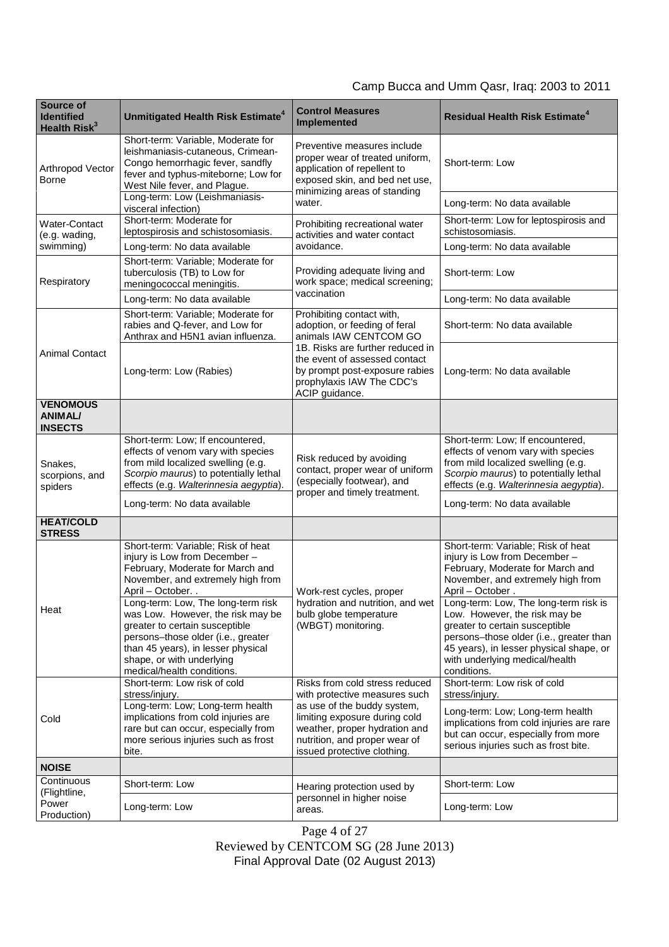| Source of<br><b>Identified</b><br>Health Risk <sup>3</sup> | Unmitigated Health Risk Estimate <sup>4</sup>                                                                                                                                                                                                                                                                                                                                                                      | <b>Control Measures</b><br><b>Implemented</b>                                                                                                                                                                                              | <b>Residual Health Risk Estimate<sup>4</sup></b>                                                                                                                                                                                                                                                                                                                                                                    |
|------------------------------------------------------------|--------------------------------------------------------------------------------------------------------------------------------------------------------------------------------------------------------------------------------------------------------------------------------------------------------------------------------------------------------------------------------------------------------------------|--------------------------------------------------------------------------------------------------------------------------------------------------------------------------------------------------------------------------------------------|---------------------------------------------------------------------------------------------------------------------------------------------------------------------------------------------------------------------------------------------------------------------------------------------------------------------------------------------------------------------------------------------------------------------|
| Arthropod Vector<br><b>Borne</b>                           | Short-term: Variable, Moderate for<br>leishmaniasis-cutaneous, Crimean-<br>Congo hemorrhagic fever, sandfly<br>fever and typhus-miteborne; Low for<br>West Nile fever, and Plague.                                                                                                                                                                                                                                 | Preventive measures include<br>proper wear of treated uniform,<br>application of repellent to<br>exposed skin, and bed net use,<br>minimizing areas of standing<br>water.                                                                  | Short-term: Low                                                                                                                                                                                                                                                                                                                                                                                                     |
|                                                            | Long-term: Low (Leishmaniasis-<br>visceral infection)                                                                                                                                                                                                                                                                                                                                                              |                                                                                                                                                                                                                                            | Long-term: No data available                                                                                                                                                                                                                                                                                                                                                                                        |
| Water-Contact<br>(e.g. wading,<br>swimming)                | Short-term: Moderate for<br>leptospirosis and schistosomiasis.                                                                                                                                                                                                                                                                                                                                                     | Prohibiting recreational water<br>activities and water contact<br>avoidance.                                                                                                                                                               | Short-term: Low for leptospirosis and<br>schistosomiasis.                                                                                                                                                                                                                                                                                                                                                           |
|                                                            | Long-term: No data available                                                                                                                                                                                                                                                                                                                                                                                       |                                                                                                                                                                                                                                            | Long-term: No data available                                                                                                                                                                                                                                                                                                                                                                                        |
| Respiratory                                                | Short-term: Variable; Moderate for<br>tuberculosis (TB) to Low for<br>meningococcal meningitis.                                                                                                                                                                                                                                                                                                                    | Providing adequate living and<br>work space; medical screening;<br>vaccination                                                                                                                                                             | Short-term: Low                                                                                                                                                                                                                                                                                                                                                                                                     |
|                                                            | Long-term: No data available                                                                                                                                                                                                                                                                                                                                                                                       |                                                                                                                                                                                                                                            | Long-term: No data available                                                                                                                                                                                                                                                                                                                                                                                        |
| <b>Animal Contact</b>                                      | Short-term: Variable; Moderate for<br>rabies and Q-fever, and Low for<br>Anthrax and H5N1 avian influenza.                                                                                                                                                                                                                                                                                                         | Prohibiting contact with,<br>adoption, or feeding of feral<br>animals IAW CENTCOM GO<br>1B. Risks are further reduced in<br>the event of assessed contact<br>by prompt post-exposure rabies<br>prophylaxis IAW The CDC's<br>ACIP guidance. | Short-term: No data available                                                                                                                                                                                                                                                                                                                                                                                       |
|                                                            | Long-term: Low (Rabies)                                                                                                                                                                                                                                                                                                                                                                                            |                                                                                                                                                                                                                                            | Long-term: No data available                                                                                                                                                                                                                                                                                                                                                                                        |
| <b>VENOMOUS</b><br><b>ANIMAL/</b><br><b>INSECTS</b>        |                                                                                                                                                                                                                                                                                                                                                                                                                    |                                                                                                                                                                                                                                            |                                                                                                                                                                                                                                                                                                                                                                                                                     |
| Snakes,<br>scorpions, and<br>spiders                       | Short-term: Low; If encountered,<br>effects of venom vary with species<br>from mild localized swelling (e.g.<br>Scorpio maurus) to potentially lethal<br>effects (e.g. Walterinnesia aegyptia).<br>Long-term: No data available                                                                                                                                                                                    | Risk reduced by avoiding<br>contact, proper wear of uniform<br>(especially footwear), and<br>proper and timely treatment.                                                                                                                  | Short-term: Low; If encountered,<br>effects of venom vary with species<br>from mild localized swelling (e.g.<br>Scorpio maurus) to potentially lethal<br>effects (e.g. Walterinnesia aegyptia).<br>Long-term: No data available                                                                                                                                                                                     |
| <b>HEAT/COLD</b><br><b>STRESS</b>                          |                                                                                                                                                                                                                                                                                                                                                                                                                    |                                                                                                                                                                                                                                            |                                                                                                                                                                                                                                                                                                                                                                                                                     |
| Heat                                                       | Short-term: Variable; Risk of heat<br>injury is Low from December-<br>February, Moderate for March and<br>November, and extremely high from<br>April - October<br>Long-term: Low, The long-term risk<br>was Low. However, the risk may be<br>greater to certain susceptible<br>persons-those older (i.e., greater<br>than 45 years), in lesser physical<br>shape, or with underlying<br>medical/health conditions. | Work-rest cycles, proper<br>hydration and nutrition, and wet<br>bulb globe temperature<br>(WBGT) monitoring.                                                                                                                               | Short-term: Variable; Risk of heat<br>injury is Low from December -<br>February, Moderate for March and<br>November, and extremely high from<br>April – October.<br>Long-term: Low, The long-term risk is<br>Low. However, the risk may be<br>greater to certain susceptible<br>persons-those older (i.e., greater than<br>45 years), in lesser physical shape, or<br>with underlying medical/health<br>conditions. |
| Cold                                                       | Short-term: Low risk of cold<br>stress/injury.<br>Long-term: Low; Long-term health<br>implications from cold injuries are<br>rare but can occur, especially from<br>more serious injuries such as frost<br>bite.                                                                                                                                                                                                   | Risks from cold stress reduced<br>with protective measures such<br>as use of the buddy system,<br>limiting exposure during cold<br>weather, proper hydration and<br>nutrition, and proper wear of<br>issued protective clothing.           | Short-term: Low risk of cold<br>stress/injury.<br>Long-term: Low; Long-term health<br>implications from cold injuries are rare<br>but can occur, especially from more<br>serious injuries such as frost bite.                                                                                                                                                                                                       |
| <b>NOISE</b>                                               |                                                                                                                                                                                                                                                                                                                                                                                                                    |                                                                                                                                                                                                                                            |                                                                                                                                                                                                                                                                                                                                                                                                                     |
| Continuous<br>(Flightline,                                 | Short-term: Low                                                                                                                                                                                                                                                                                                                                                                                                    | Hearing protection used by                                                                                                                                                                                                                 | Short-term: Low                                                                                                                                                                                                                                                                                                                                                                                                     |
| Power<br>Production)                                       | Long-term: Low                                                                                                                                                                                                                                                                                                                                                                                                     | personnel in higher noise<br>areas.                                                                                                                                                                                                        | Long-term: Low                                                                                                                                                                                                                                                                                                                                                                                                      |

Page 4 of 27 Reviewed by CENTCOM SG (28 June 2013) Final Approval Date (02 August 2013)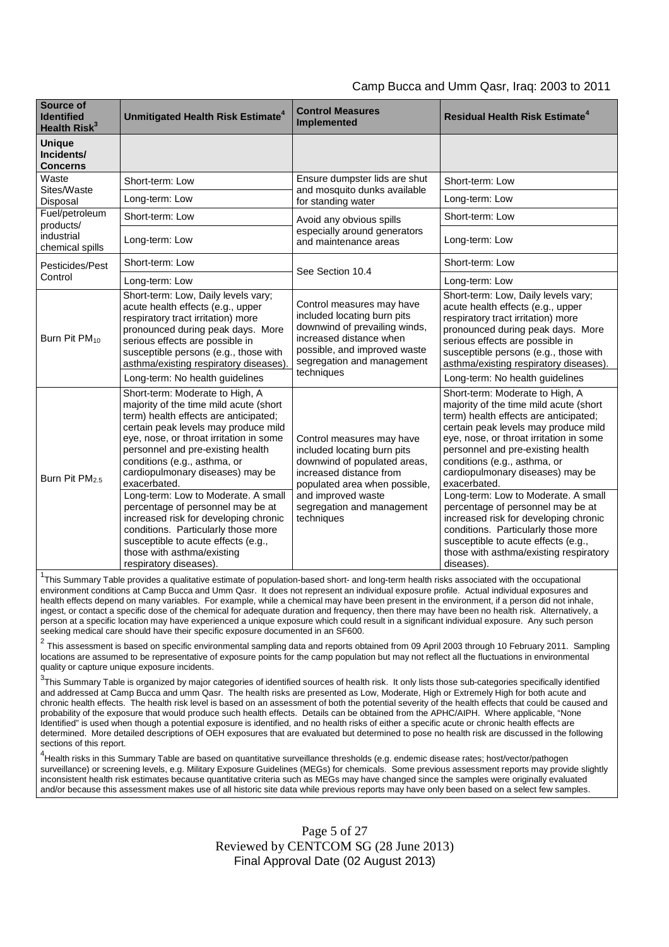| Camp Bucca and Umm Qasr, Iraq: 2003 to 2011 |
|---------------------------------------------|
|---------------------------------------------|

| Source of<br><b>Identified</b><br>Health Risk <sup>3</sup>   | <b>Unmitigated Health Risk Estimate<sup>4</sup></b>                                                                                                                                                                                                                                                                            | <b>Control Measures</b><br><b>Implemented</b>                                                                                                                                                                          | <b>Residual Health Risk Estimate<sup>4</sup></b>                                                                                                                                                                                                                                                                               |
|--------------------------------------------------------------|--------------------------------------------------------------------------------------------------------------------------------------------------------------------------------------------------------------------------------------------------------------------------------------------------------------------------------|------------------------------------------------------------------------------------------------------------------------------------------------------------------------------------------------------------------------|--------------------------------------------------------------------------------------------------------------------------------------------------------------------------------------------------------------------------------------------------------------------------------------------------------------------------------|
| <b>Unique</b><br>Incidents/<br><b>Concerns</b>               |                                                                                                                                                                                                                                                                                                                                |                                                                                                                                                                                                                        |                                                                                                                                                                                                                                                                                                                                |
| Waste<br>Sites/Waste<br>Disposal                             | Short-term: Low                                                                                                                                                                                                                                                                                                                | Ensure dumpster lids are shut<br>and mosquito dunks available<br>for standing water                                                                                                                                    | Short-term: Low                                                                                                                                                                                                                                                                                                                |
|                                                              | Long-term: Low                                                                                                                                                                                                                                                                                                                 |                                                                                                                                                                                                                        | Long-term: Low                                                                                                                                                                                                                                                                                                                 |
| Fuel/petroleum<br>products/<br>industrial<br>chemical spills | Short-term: Low                                                                                                                                                                                                                                                                                                                | Avoid any obvious spills<br>especially around generators<br>and maintenance areas                                                                                                                                      | Short-term: Low                                                                                                                                                                                                                                                                                                                |
|                                                              | Long-term: Low                                                                                                                                                                                                                                                                                                                 |                                                                                                                                                                                                                        | Long-term: Low                                                                                                                                                                                                                                                                                                                 |
| Pesticides/Pest<br>Control<br>Burn Pit PM <sub>10</sub>      | Short-term: Low                                                                                                                                                                                                                                                                                                                | See Section 10.4<br>Control measures may have<br>included locating burn pits<br>downwind of prevailing winds,<br>increased distance when<br>possible, and improved waste<br>segregation and management<br>techniques   | Short-term: Low                                                                                                                                                                                                                                                                                                                |
|                                                              | Long-term: Low                                                                                                                                                                                                                                                                                                                 |                                                                                                                                                                                                                        | Long-term: Low                                                                                                                                                                                                                                                                                                                 |
|                                                              | Short-term: Low, Daily levels vary;<br>acute health effects (e.g., upper<br>respiratory tract irritation) more<br>pronounced during peak days. More<br>serious effects are possible in<br>susceptible persons (e.g., those with<br>asthma/existing respiratory diseases).                                                      |                                                                                                                                                                                                                        | Short-term: Low, Daily levels vary;<br>acute health effects (e.g., upper<br>respiratory tract irritation) more<br>pronounced during peak days. More<br>serious effects are possible in<br>susceptible persons (e.g., those with<br>asthma/existing respiratory diseases).                                                      |
|                                                              | Long-term: No health guidelines                                                                                                                                                                                                                                                                                                |                                                                                                                                                                                                                        | Long-term: No health guidelines                                                                                                                                                                                                                                                                                                |
| Burn Pit PM <sub>25</sub>                                    | Short-term: Moderate to High, A<br>majority of the time mild acute (short<br>term) health effects are anticipated;<br>certain peak levels may produce mild<br>eye, nose, or throat irritation in some<br>personnel and pre-existing health<br>conditions (e.g., asthma, or<br>cardiopulmonary diseases) may be<br>exacerbated. | Control measures may have<br>included locating burn pits<br>downwind of populated areas,<br>increased distance from<br>populated area when possible,<br>and improved waste<br>segregation and management<br>techniques | Short-term: Moderate to High, A<br>majority of the time mild acute (short<br>term) health effects are anticipated;<br>certain peak levels may produce mild<br>eye, nose, or throat irritation in some<br>personnel and pre-existing health<br>conditions (e.g., asthma, or<br>cardiopulmonary diseases) may be<br>exacerbated. |
|                                                              | Long-term: Low to Moderate. A small<br>percentage of personnel may be at<br>increased risk for developing chronic<br>conditions. Particularly those more<br>susceptible to acute effects (e.g.,<br>those with asthma/existing<br>respiratory diseases).                                                                        |                                                                                                                                                                                                                        | Long-term: Low to Moderate. A small<br>percentage of personnel may be at<br>increased risk for developing chronic<br>conditions. Particularly those more<br>susceptible to acute effects (e.g.,<br>those with asthma/existing respiratory<br>diseases).                                                                        |

<sup>1</sup>This Summary Table provides a qualitative estimate of population-based short- and long-term health risks associated with the occupational environment conditions at Camp Bucca and Umm Qasr. It does not represent an individual exposure profile. Actual individual exposures and health effects depend on many variables. For example, while a chemical may have been present in the environment, if a person did not inhale, ingest, or contact a specific dose of the chemical for adequate duration and frequency, then there may have been no health risk. Alternatively, a person at a specific location may have experienced a unique exposure which could result in a significant individual exposure. Any such person seeking medical care should have their specific exposure documented in an SF600.

 $^2$  This assessment is based on specific environmental sampling data and reports obtained from 09 April 2003 through 10 February 2011. Sampling locations are assumed to be representative of exposure points for the camp population but may not reflect all the fluctuations in environmental quality or capture unique exposure incidents.

<sup>3</sup>This Summary Table is organized by major categories of identified sources of health risk. It only lists those sub-categories specifically identified and addressed at Camp Bucca and umm Qasr. The health risks are presented as Low, Moderate, High or Extremely High for both acute and chronic health effects. The health risk level is based on an assessment of both the potential severity of the health effects that could be caused and probability of the exposure that would produce such health effects. Details can be obtained from the APHC/AIPH. Where applicable, "None Identified" is used when though a potential exposure is identified, and no health risks of either a specific acute or chronic health effects are determined. More detailed descriptions of OEH exposures that are evaluated but determined to pose no health risk are discussed in the following sections of this report.

4 Health risks in this Summary Table are based on quantitative surveillance thresholds (e.g. endemic disease rates; host/vector/pathogen surveillance) or screening levels, e.g. Military Exposure Guidelines (MEGs) for chemicals*.* Some previous assessment reports may provide slightly inconsistent health risk estimates because quantitative criteria such as MEGs may have changed since the samples were originally evaluated and/or because this assessment makes use of all historic site data while previous reports may have only been based on a select few samples.

> Page 5 of 27 Reviewed by CENTCOM SG (28 June 2013) Final Approval Date (02 August 2013)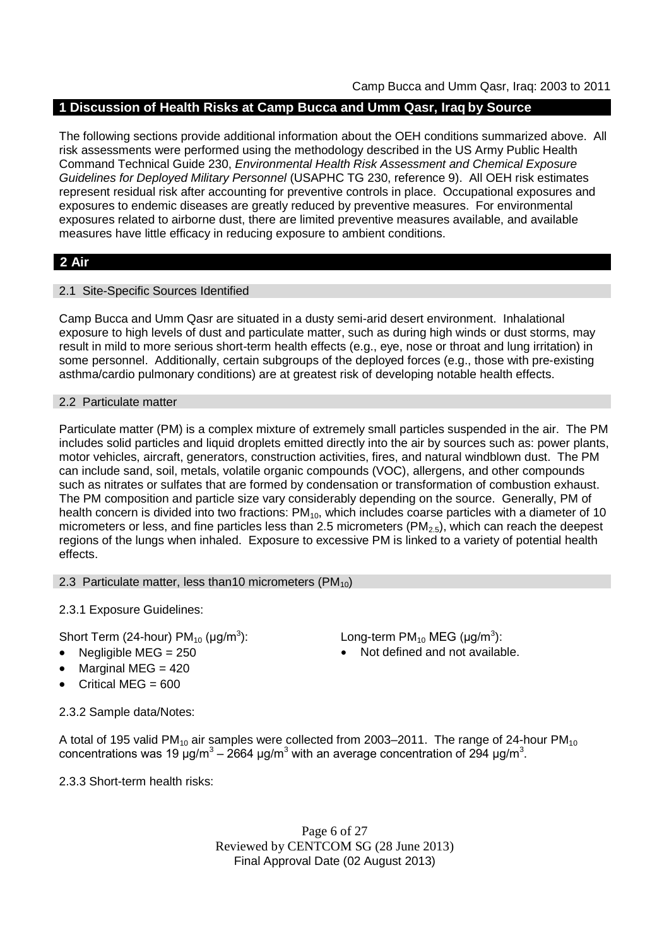## **1 Discussion of Health Risks at Camp Bucca and Umm Qasr, Iraq by Source**

The following sections provide additional information about the OEH conditions summarized above. All risk assessments were performed using the methodology described in the US Army Public Health Command Technical Guide 230, *Environmental Health Risk Assessment and Chemical Exposure Guidelines for Deployed Military Personnel* (USAPHC TG 230, reference 9). All OEH risk estimates represent residual risk after accounting for preventive controls in place. Occupational exposures and exposures to endemic diseases are greatly reduced by preventive measures. For environmental exposures related to airborne dust, there are limited preventive measures available, and available measures have little efficacy in reducing exposure to ambient conditions.

## **2 Air**

## 2.1 Site-Specific Sources Identified

Camp Bucca and Umm Qasr are situated in a dusty semi-arid desert environment. Inhalational exposure to high levels of dust and particulate matter, such as during high winds or dust storms, may result in mild to more serious short-term health effects (e.g., eye, nose or throat and lung irritation) in some personnel. Additionally, certain subgroups of the deployed forces (e.g., those with pre-existing asthma/cardio pulmonary conditions) are at greatest risk of developing notable health effects.

## 2.2 Particulate matter

Particulate matter (PM) is a complex mixture of extremely small particles suspended in the air. The PM includes solid particles and liquid droplets emitted directly into the air by sources such as: power plants, motor vehicles, aircraft, generators, construction activities, fires, and natural windblown dust. The PM can include sand, soil, metals, volatile organic compounds (VOC), allergens, and other compounds such as nitrates or sulfates that are formed by condensation or transformation of combustion exhaust. The PM composition and particle size vary considerably depending on the source. Generally, PM of health concern is divided into two fractions:  $PM_{10}$ , which includes coarse particles with a diameter of 10 micrometers or less, and fine particles less than 2.5 micrometers ( $PM_{2.5}$ ), which can reach the deepest regions of the lungs when inhaled. Exposure to excessive PM is linked to a variety of potential health effects.

### 2.3 Particulate matter, less than10 micrometers  $(PM_{10})$

2.3.1 Exposure Guidelines:

Short Term (24-hour) PM $_{10}$  (µg/m $^3$ 

- 
- Marginal MEG  $=$  420
- Critical MEG = 600

2.3.2 Sample data/Notes:

): Long-term PM<sub>10</sub> MEG ( $\mu$ g/m $^3$ ): • Negligible MEG = 250 **a** Not defined and not available.

A total of 195 valid PM<sub>10</sub> air samples were collected from 2003–2011. The range of 24-hour PM<sub>10</sub> concentrations was 19 μg/m<sup>3</sup> – 2664 μg/m<sup>3</sup> with an average concentration of 294 μg/m<sup>3</sup>.

2.3.3 Short-term health risks:

Page 6 of 27 Reviewed by CENTCOM SG (28 June 2013) Final Approval Date (02 August 2013)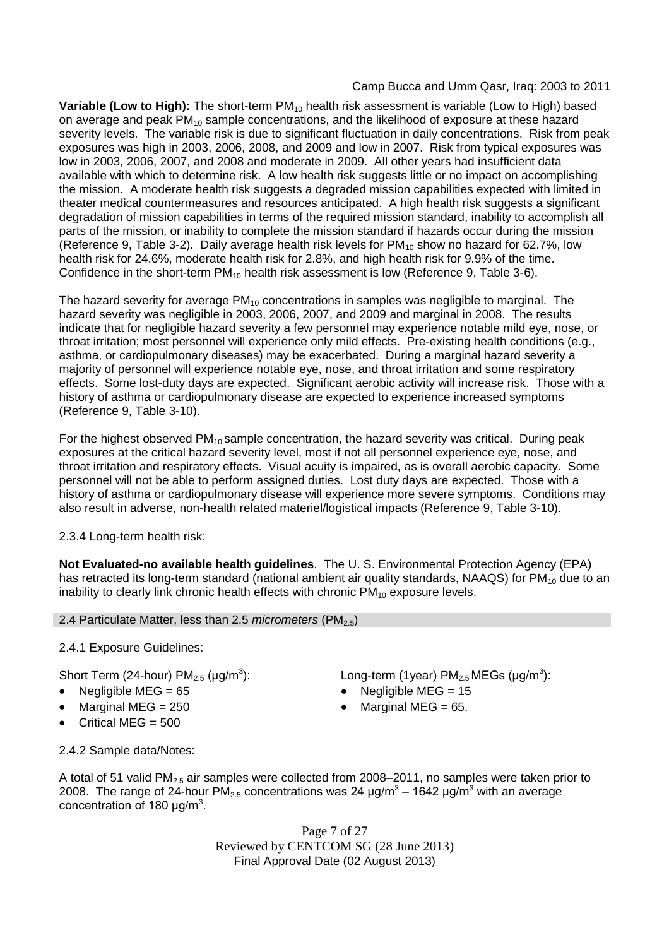**Variable (Low to High):** The short-term PM<sub>10</sub> health risk assessment is variable (Low to High) based on average and peak  $PM_{10}$  sample concentrations, and the likelihood of exposure at these hazard severity levels. The variable risk is due to significant fluctuation in daily concentrations. Risk from peak exposures was high in 2003, 2006, 2008, and 2009 and low in 2007. Risk from typical exposures was low in 2003, 2006, 2007, and 2008 and moderate in 2009. All other years had insufficient data available with which to determine risk. A low health risk suggests little or no impact on accomplishing the mission. A moderate health risk suggests a degraded mission capabilities expected with limited in theater medical countermeasures and resources anticipated. A high health risk suggests a significant degradation of mission capabilities in terms of the required mission standard, inability to accomplish all parts of the mission, or inability to complete the mission standard if hazards occur during the mission (Reference 9, Table 3-2). Daily average health risk levels for  $PM_{10}$  show no hazard for 62.7%, low health risk for 24.6%, moderate health risk for 2.8%, and high health risk for 9.9% of the time. Confidence in the short-term  $PM_{10}$  health risk assessment is low (Reference 9, Table 3-6).

The hazard severity for average  $PM_{10}$  concentrations in samples was negligible to marginal. The hazard severity was negligible in 2003, 2006, 2007, and 2009 and marginal in 2008. The results indicate that for negligible hazard severity a few personnel may experience notable mild eye, nose, or throat irritation; most personnel will experience only mild effects. Pre-existing health conditions (e.g., asthma, or cardiopulmonary diseases) may be exacerbated. During a marginal hazard severity a majority of personnel will experience notable eye, nose, and throat irritation and some respiratory effects. Some lost-duty days are expected. Significant aerobic activity will increase risk. Those with a history of asthma or cardiopulmonary disease are expected to experience increased symptoms (Reference 9, Table 3-10).

For the highest observed  $PM_{10}$  sample concentration, the hazard severity was critical. During peak exposures at the critical hazard severity level, most if not all personnel experience eye, nose, and throat irritation and respiratory effects. Visual acuity is impaired, as is overall aerobic capacity. Some personnel will not be able to perform assigned duties. Lost duty days are expected. Those with a history of asthma or cardiopulmonary disease will experience more severe symptoms. Conditions may also result in adverse, non-health related materiel/logistical impacts (Reference 9, Table 3-10).

## 2.3.4 Long-term health risk:

**Not Evaluated-no available health guidelines**. The U. S. Environmental Protection Agency (EPA) has retracted its long-term standard (national ambient air quality standards, NAAQS) for  $PM_{10}$  due to an inability to clearly link chronic health effects with chronic  $PM_{10}$  exposure levels.

## 2.4 Particulate Matter, less than 2.5 *micrometers* (PM<sub>2.5</sub>)

## 2.4.1 Exposure Guidelines:

Short Term (24-hour) PM $_{2.5}$  (µg/m $^3$ 

- Negligible MEG = 65 Negligible MEG = 15
- 
- Critical MEG  $= 500$

): Long-term (1year)  $PM_{2.5}$ MEGs (µg/m<sup>3</sup>):

- 
- Marginal MEG =  $250$   $\bullet$  Marginal MEG =  $65$ .
- 2.4.2 Sample data/Notes:

A total of 51 valid PM<sub>2.5</sub> air samples were collected from 2008–2011, no samples were taken prior to 2008. The range of 24-hour PM<sub>2.5</sub> concentrations was 24 μg/m<sup>3</sup> – 1642 μg/m<sup>3</sup> with an average concentration of 180  $\mu$ g/m<sup>3</sup>.

> Page 7 of 27 Reviewed by CENTCOM SG (28 June 2013) Final Approval Date (02 August 2013)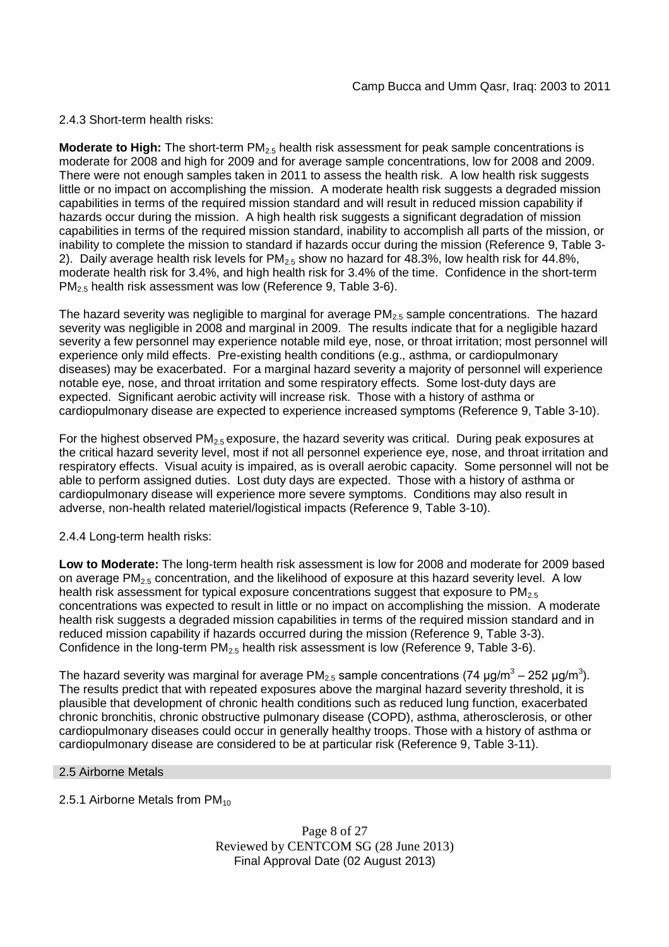2.4.3 Short-term health risks:

**Moderate to High:** The short-term PM<sub>2.5</sub> health risk assessment for peak sample concentrations is moderate for 2008 and high for 2009 and for average sample concentrations, low for 2008 and 2009. There were not enough samples taken in 2011 to assess the health risk. A low health risk suggests little or no impact on accomplishing the mission. A moderate health risk suggests a degraded mission capabilities in terms of the required mission standard and will result in reduced mission capability if hazards occur during the mission. A high health risk suggests a significant degradation of mission capabilities in terms of the required mission standard, inability to accomplish all parts of the mission, or inability to complete the mission to standard if hazards occur during the mission (Reference 9, Table 3- 2). Daily average health risk levels for  $PM<sub>2.5</sub>$  show no hazard for 48.3%, low health risk for 44.8%, moderate health risk for 3.4%, and high health risk for 3.4% of the time. Confidence in the short-term PM<sub>2.5</sub> health risk assessment was low (Reference 9, Table 3-6).

The hazard severity was negligible to marginal for average  $PM<sub>2.5</sub>$  sample concentrations. The hazard severity was negligible in 2008 and marginal in 2009. The results indicate that for a negligible hazard severity a few personnel may experience notable mild eye, nose, or throat irritation; most personnel will experience only mild effects. Pre-existing health conditions (e.g., asthma, or cardiopulmonary diseases) may be exacerbated. For a marginal hazard severity a majority of personnel will experience notable eye, nose, and throat irritation and some respiratory effects. Some lost-duty days are expected. Significant aerobic activity will increase risk. Those with a history of asthma or cardiopulmonary disease are expected to experience increased symptoms (Reference 9, Table 3-10).

For the highest observed  $PM_{2.5}$  exposure, the hazard severity was critical. During peak exposures at the critical hazard severity level, most if not all personnel experience eye, nose, and throat irritation and respiratory effects. Visual acuity is impaired, as is overall aerobic capacity. Some personnel will not be able to perform assigned duties. Lost duty days are expected. Those with a history of asthma or cardiopulmonary disease will experience more severe symptoms. Conditions may also result in adverse, non-health related materiel/logistical impacts (Reference 9, Table 3-10).

## 2.4.4 Long-term health risks:

**Low to Moderate:** The long-term health risk assessment is low for 2008 and moderate for 2009 based on average PM<sub>2.5</sub> concentration, and the likelihood of exposure at this hazard severity level. A low health risk assessment for typical exposure concentrations suggest that exposure to  $PM_{2.5}$ concentrations was expected to result in little or no impact on accomplishing the mission. A moderate health risk suggests a degraded mission capabilities in terms of the required mission standard and in reduced mission capability if hazards occurred during the mission (Reference 9, Table 3-3). Confidence in the long-term  $PM<sub>2.5</sub>$  health risk assessment is low (Reference 9, Table 3-6).

The hazard severity was marginal for average PM<sub>2.5</sub> sample concentrations (74 µg/m $^3$  – 252 µg/m $^3$ ). The results predict that with repeated exposures above the marginal hazard severity threshold, it is plausible that development of chronic health conditions such as reduced lung function, exacerbated chronic bronchitis, chronic obstructive pulmonary disease (COPD), asthma, atherosclerosis, or other cardiopulmonary diseases could occur in generally healthy troops. Those with a history of asthma or cardiopulmonary disease are considered to be at particular risk (Reference 9, Table 3-11).

## 2.5 Airborne Metals

2.5.1 Airborne Metals from  $PM_{10}$ 

Page 8 of 27 Reviewed by CENTCOM SG (28 June 2013) Final Approval Date (02 August 2013)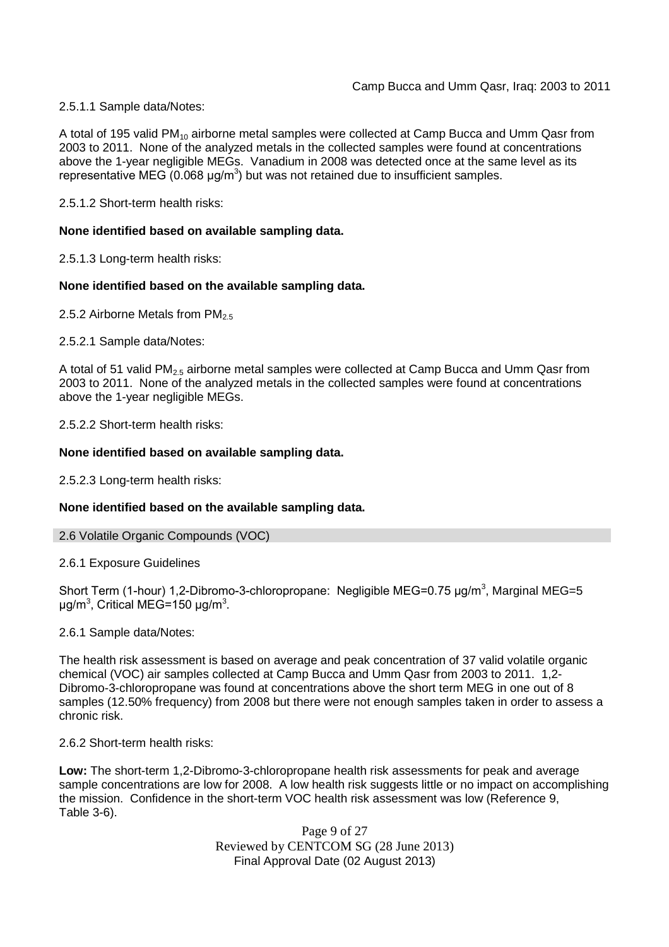2.5.1.1 Sample data/Notes:

A total of 195 valid PM<sub>10</sub> airborne metal samples were collected at Camp Bucca and Umm Qasr from 2003 to 2011. None of the analyzed metals in the collected samples were found at concentrations above the 1-year negligible MEGs. Vanadium in 2008 was detected once at the same level as its representative MEG  $(0.068 \text{ µg/m}^3)$  but was not retained due to insufficient samples.

2.5.1.2 Short-term health risks:

## **None identified based on available sampling data.**

2.5.1.3 Long-term health risks:

### **None identified based on the available sampling data.**

2.5.2 Airborne Metals from  $PM<sub>2.5</sub>$ 

2.5.2.1 Sample data/Notes:

A total of 51 valid PM<sub>2.5</sub> airborne metal samples were collected at Camp Bucca and Umm Qasr from 2003 to 2011. None of the analyzed metals in the collected samples were found at concentrations above the 1-year negligible MEGs.

2.5.2.2 Short-term health risks:

### **None identified based on available sampling data.**

2.5.2.3 Long-term health risks:

## **None identified based on the available sampling data.**

### 2.6 Volatile Organic Compounds (VOC)

2.6.1 Exposure Guidelines

Short Term (1-hour) 1,2-Dibromo-3-chloropropane: Negligible MEG=0.75 µg/m<sup>3</sup>, Marginal MEG=5 μg/m<sup>3</sup>, Critical MEG=150 μg/m<sup>3</sup>.

### 2.6.1 Sample data/Notes:

The health risk assessment is based on average and peak concentration of 37 valid volatile organic chemical (VOC) air samples collected at Camp Bucca and Umm Qasr from 2003 to 2011. 1,2- Dibromo-3-chloropropane was found at concentrations above the short term MEG in one out of 8 samples (12.50% frequency) from 2008 but there were not enough samples taken in order to assess a chronic risk.

2.6.2 Short-term health risks:

**Low:** The short-term 1,2-Dibromo-3-chloropropane health risk assessments for peak and average sample concentrations are low for 2008. A low health risk suggests little or no impact on accomplishing the mission. Confidence in the short-term VOC health risk assessment was low (Reference 9, Table 3-6).

> Page 9 of 27 Reviewed by CENTCOM SG (28 June 2013) Final Approval Date (02 August 2013)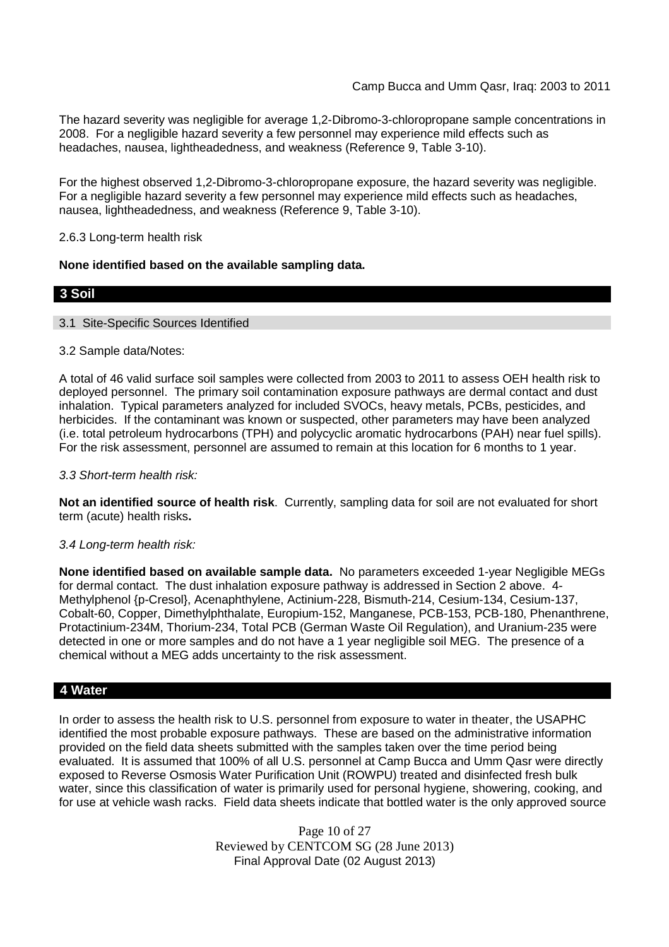The hazard severity was negligible for average 1,2-Dibromo-3-chloropropane sample concentrations in 2008. For a negligible hazard severity a few personnel may experience mild effects such as headaches, nausea, lightheadedness, and weakness (Reference 9, Table 3-10).

For the highest observed 1,2-Dibromo-3-chloropropane exposure, the hazard severity was negligible. For a negligible hazard severity a few personnel may experience mild effects such as headaches, nausea, lightheadedness, and weakness (Reference 9, Table 3-10).

## 2.6.3 Long-term health risk

## **None identified based on the available sampling data.**

## **3 Soil**

### 3.1 Site-Specific Sources Identified

## 3.2 Sample data/Notes:

A total of 46 valid surface soil samples were collected from 2003 to 2011 to assess OEH health risk to deployed personnel. The primary soil contamination exposure pathways are dermal contact and dust inhalation. Typical parameters analyzed for included SVOCs, heavy metals, PCBs, pesticides, and herbicides. If the contaminant was known or suspected, other parameters may have been analyzed (i.e. total petroleum hydrocarbons (TPH) and polycyclic aromatic hydrocarbons (PAH) near fuel spills). For the risk assessment, personnel are assumed to remain at this location for 6 months to 1 year.

### *3.3 Short-term health risk:*

**Not an identified source of health risk**. Currently, sampling data for soil are not evaluated for short term (acute) health risks**.**

### *3.4 Long-term health risk:*

**None identified based on available sample data.** No parameters exceeded 1-year Negligible MEGs for dermal contact. The dust inhalation exposure pathway is addressed in Section 2 above. 4- Methylphenol {p-Cresol}, Acenaphthylene, Actinium-228, Bismuth-214, Cesium-134, Cesium-137, Cobalt-60, Copper, Dimethylphthalate, Europium-152, Manganese, PCB-153, PCB-180, Phenanthrene, Protactinium-234M, Thorium-234, Total PCB (German Waste Oil Regulation), and Uranium-235 were detected in one or more samples and do not have a 1 year negligible soil MEG. The presence of a chemical without a MEG adds uncertainty to the risk assessment.

## **4 Water**

In order to assess the health risk to U.S. personnel from exposure to water in theater, the USAPHC identified the most probable exposure pathways. These are based on the administrative information provided on the field data sheets submitted with the samples taken over the time period being evaluated. It is assumed that 100% of all U.S. personnel at Camp Bucca and Umm Qasr were directly exposed to Reverse Osmosis Water Purification Unit (ROWPU) treated and disinfected fresh bulk water, since this classification of water is primarily used for personal hygiene, showering, cooking, and for use at vehicle wash racks. Field data sheets indicate that bottled water is the only approved source

> Page 10 of 27 Reviewed by CENTCOM SG (28 June 2013) Final Approval Date (02 August 2013)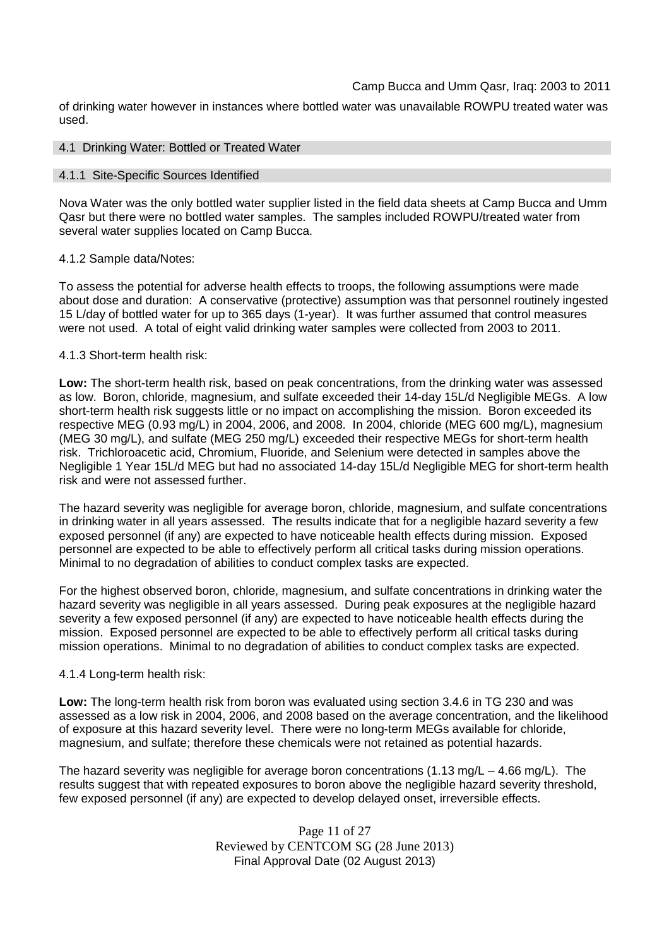of drinking water however in instances where bottled water was unavailable ROWPU treated water was used.

#### 4.1 Drinking Water: Bottled or Treated Water

#### 4.1.1 Site-Specific Sources Identified

Nova Water was the only bottled water supplier listed in the field data sheets at Camp Bucca and Umm Qasr but there were no bottled water samples. The samples included ROWPU/treated water from several water supplies located on Camp Bucca.

#### 4.1.2 Sample data/Notes:

To assess the potential for adverse health effects to troops, the following assumptions were made about dose and duration: A conservative (protective) assumption was that personnel routinely ingested 15 L/day of bottled water for up to 365 days (1-year). It was further assumed that control measures were not used. A total of eight valid drinking water samples were collected from 2003 to 2011.

#### 4.1.3 Short-term health risk:

**Low:** The short-term health risk, based on peak concentrations, from the drinking water was assessed as low. Boron, chloride, magnesium, and sulfate exceeded their 14-day 15L/d Negligible MEGs. A low short-term health risk suggests little or no impact on accomplishing the mission. Boron exceeded its respective MEG (0.93 mg/L) in 2004, 2006, and 2008. In 2004, chloride (MEG 600 mg/L), magnesium (MEG 30 mg/L), and sulfate (MEG 250 mg/L) exceeded their respective MEGs for short-term health risk. Trichloroacetic acid, Chromium, Fluoride, and Selenium were detected in samples above the Negligible 1 Year 15L/d MEG but had no associated 14-day 15L/d Negligible MEG for short-term health risk and were not assessed further.

The hazard severity was negligible for average boron, chloride, magnesium, and sulfate concentrations in drinking water in all years assessed. The results indicate that for a negligible hazard severity a few exposed personnel (if any) are expected to have noticeable health effects during mission. Exposed personnel are expected to be able to effectively perform all critical tasks during mission operations. Minimal to no degradation of abilities to conduct complex tasks are expected.

For the highest observed boron, chloride, magnesium, and sulfate concentrations in drinking water the hazard severity was negligible in all years assessed. During peak exposures at the negligible hazard severity a few exposed personnel (if any) are expected to have noticeable health effects during the mission. Exposed personnel are expected to be able to effectively perform all critical tasks during mission operations. Minimal to no degradation of abilities to conduct complex tasks are expected.

### 4.1.4 Long-term health risk:

**Low:** The long-term health risk from boron was evaluated using section 3.4.6 in TG 230 and was assessed as a low risk in 2004, 2006, and 2008 based on the average concentration, and the likelihood of exposure at this hazard severity level. There were no long-term MEGs available for chloride, magnesium, and sulfate; therefore these chemicals were not retained as potential hazards.

The hazard severity was negligible for average boron concentrations (1.13 mg/L – 4.66 mg/L). The results suggest that with repeated exposures to boron above the negligible hazard severity threshold, few exposed personnel (if any) are expected to develop delayed onset, irreversible effects.

> Page 11 of 27 Reviewed by CENTCOM SG (28 June 2013) Final Approval Date (02 August 2013)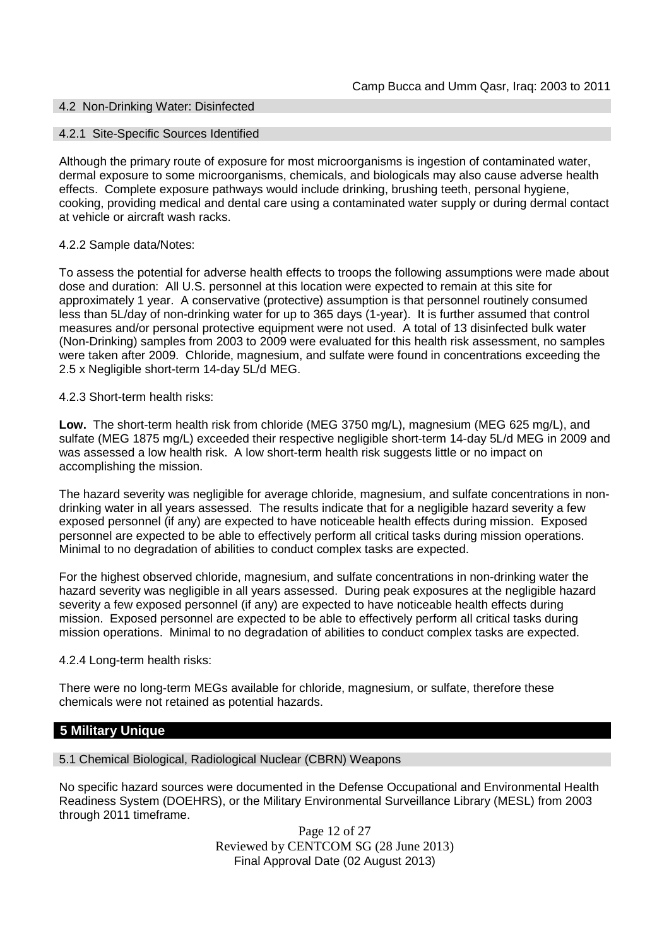## 4.2 Non-Drinking Water: Disinfected

#### 4.2.1 Site-Specific Sources Identified

Although the primary route of exposure for most microorganisms is ingestion of contaminated water, dermal exposure to some microorganisms, chemicals, and biologicals may also cause adverse health effects. Complete exposure pathways would include drinking, brushing teeth, personal hygiene, cooking, providing medical and dental care using a contaminated water supply or during dermal contact at vehicle or aircraft wash racks.

### 4.2.2 Sample data/Notes:

To assess the potential for adverse health effects to troops the following assumptions were made about dose and duration: All U.S. personnel at this location were expected to remain at this site for approximately 1 year. A conservative (protective) assumption is that personnel routinely consumed less than 5L/day of non-drinking water for up to 365 days (1-year). It is further assumed that control measures and/or personal protective equipment were not used. A total of 13 disinfected bulk water (Non-Drinking) samples from 2003 to 2009 were evaluated for this health risk assessment, no samples were taken after 2009. Chloride, magnesium, and sulfate were found in concentrations exceeding the 2.5 x Negligible short-term 14-day 5L/d MEG.

#### 4.2.3 Short-term health risks:

**Low.** The short-term health risk from chloride (MEG 3750 mg/L), magnesium (MEG 625 mg/L), and sulfate (MEG 1875 mg/L) exceeded their respective negligible short-term 14-day 5L/d MEG in 2009 and was assessed a low health risk. A low short-term health risk suggests little or no impact on accomplishing the mission.

The hazard severity was negligible for average chloride, magnesium, and sulfate concentrations in nondrinking water in all years assessed. The results indicate that for a negligible hazard severity a few exposed personnel (if any) are expected to have noticeable health effects during mission. Exposed personnel are expected to be able to effectively perform all critical tasks during mission operations. Minimal to no degradation of abilities to conduct complex tasks are expected.

For the highest observed chloride, magnesium, and sulfate concentrations in non-drinking water the hazard severity was negligible in all years assessed. During peak exposures at the negligible hazard severity a few exposed personnel (if any) are expected to have noticeable health effects during mission. Exposed personnel are expected to be able to effectively perform all critical tasks during mission operations. Minimal to no degradation of abilities to conduct complex tasks are expected.

### 4.2.4 Long-term health risks:

There were no long-term MEGs available for chloride, magnesium, or sulfate, therefore these chemicals were not retained as potential hazards.

### **5 Military Unique**

5.1 Chemical Biological, Radiological Nuclear (CBRN) Weapons

No specific hazard sources were documented in the Defense Occupational and Environmental Health Readiness System (DOEHRS), or the Military Environmental Surveillance Library (MESL) from 2003 through 2011 timeframe.

> Page 12 of 27 Reviewed by CENTCOM SG (28 June 2013) Final Approval Date (02 August 2013)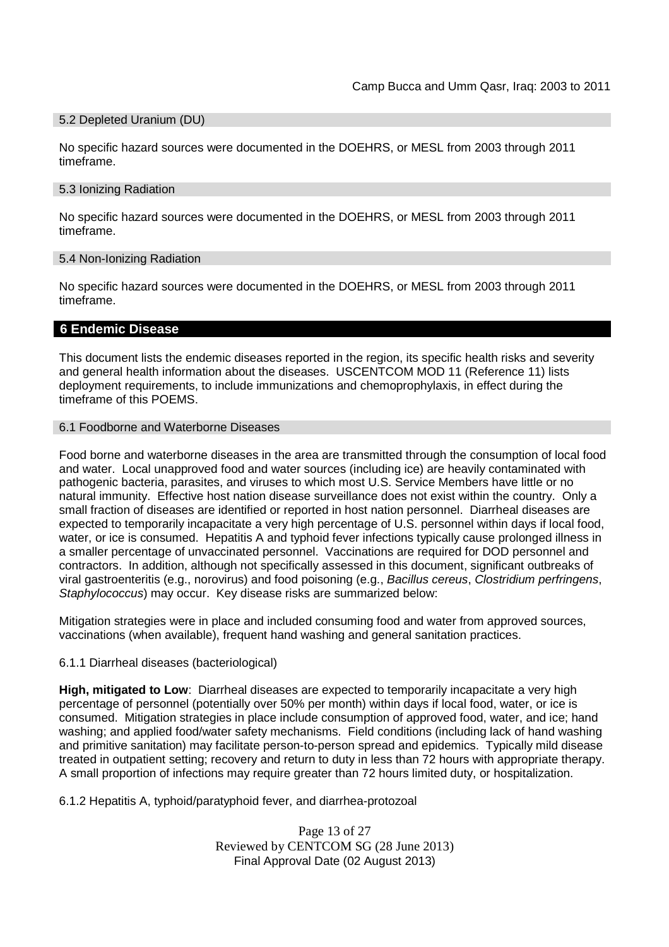#### 5.2 Depleted Uranium (DU)

No specific hazard sources were documented in the DOEHRS, or MESL from 2003 through 2011 timeframe.

#### 5.3 Ionizing Radiation

No specific hazard sources were documented in the DOEHRS, or MESL from 2003 through 2011 timeframe.

### 5.4 Non-Ionizing Radiation

No specific hazard sources were documented in the DOEHRS, or MESL from 2003 through 2011 timeframe.

## **6 Endemic Disease**

This document lists the endemic diseases reported in the region, its specific health risks and severity and general health information about the diseases. USCENTCOM MOD 11 (Reference 11) lists deployment requirements, to include immunizations and chemoprophylaxis, in effect during the timeframe of this POEMS.

#### 6.1 Foodborne and Waterborne Diseases

Food borne and waterborne diseases in the area are transmitted through the consumption of local food and water. Local unapproved food and water sources (including ice) are heavily contaminated with pathogenic bacteria, parasites, and viruses to which most U.S. Service Members have little or no natural immunity. Effective host nation disease surveillance does not exist within the country. Only a small fraction of diseases are identified or reported in host nation personnel. Diarrheal diseases are expected to temporarily incapacitate a very high percentage of U.S. personnel within days if local food, water, or ice is consumed. Hepatitis A and typhoid fever infections typically cause prolonged illness in a smaller percentage of unvaccinated personnel. Vaccinations are required for DOD personnel and contractors. In addition, although not specifically assessed in this document, significant outbreaks of viral gastroenteritis (e.g., norovirus) and food poisoning (e.g., *Bacillus cereus*, *Clostridium perfringens*, *Staphylococcus*) may occur. Key disease risks are summarized below:

Mitigation strategies were in place and included consuming food and water from approved sources, vaccinations (when available), frequent hand washing and general sanitation practices.

### 6.1.1 Diarrheal diseases (bacteriological)

**High, mitigated to Low**: Diarrheal diseases are expected to temporarily incapacitate a very high percentage of personnel (potentially over 50% per month) within days if local food, water, or ice is consumed. Mitigation strategies in place include consumption of approved food, water, and ice; hand washing; and applied food/water safety mechanisms. Field conditions (including lack of hand washing and primitive sanitation) may facilitate person-to-person spread and epidemics. Typically mild disease treated in outpatient setting; recovery and return to duty in less than 72 hours with appropriate therapy. A small proportion of infections may require greater than 72 hours limited duty, or hospitalization.

6.1.2 Hepatitis A, typhoid/paratyphoid fever, and diarrhea-protozoal

Page 13 of 27 Reviewed by CENTCOM SG (28 June 2013) Final Approval Date (02 August 2013)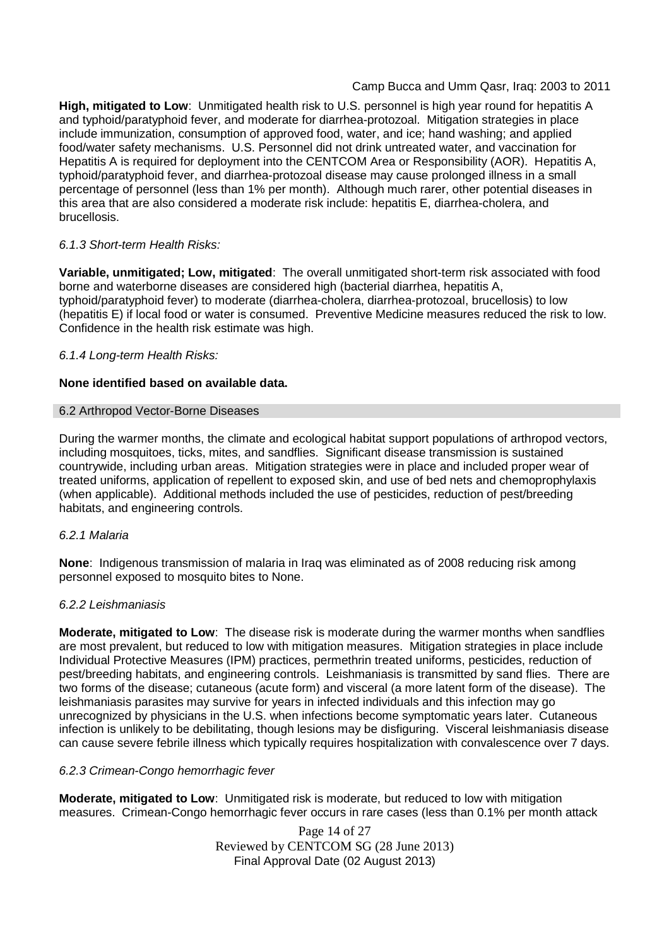**High, mitigated to Low**: Unmitigated health risk to U.S. personnel is high year round for hepatitis A and typhoid/paratyphoid fever, and moderate for diarrhea-protozoal. Mitigation strategies in place include immunization, consumption of approved food, water, and ice; hand washing; and applied food/water safety mechanisms. U.S. Personnel did not drink untreated water, and vaccination for Hepatitis A is required for deployment into the CENTCOM Area or Responsibility (AOR). Hepatitis A, typhoid/paratyphoid fever, and diarrhea-protozoal disease may cause prolonged illness in a small percentage of personnel (less than 1% per month). Although much rarer, other potential diseases in this area that are also considered a moderate risk include: hepatitis E, diarrhea-cholera, and brucellosis.

## *6.1.3 Short-term Health Risks:*

**Variable, unmitigated; Low, mitigated**: The overall unmitigated short-term risk associated with food borne and waterborne diseases are considered high (bacterial diarrhea, hepatitis A, typhoid/paratyphoid fever) to moderate (diarrhea-cholera, diarrhea-protozoal, brucellosis) to low (hepatitis E) if local food or water is consumed. Preventive Medicine measures reduced the risk to low. Confidence in the health risk estimate was high.

### *6.1.4 Long-term Health Risks:*

## **None identified based on available data.**

### 6.2 Arthropod Vector-Borne Diseases

During the warmer months, the climate and ecological habitat support populations of arthropod vectors, including mosquitoes, ticks, mites, and sandflies. Significant disease transmission is sustained countrywide, including urban areas. Mitigation strategies were in place and included proper wear of treated uniforms, application of repellent to exposed skin, and use of bed nets and chemoprophylaxis (when applicable). Additional methods included the use of pesticides, reduction of pest/breeding habitats, and engineering controls.

### *6.2.1 Malaria*

**None**: Indigenous transmission of malaria in Iraq was eliminated as of 2008 reducing risk among personnel exposed to mosquito bites to None.

### *6.2.2 Leishmaniasis*

**Moderate, mitigated to Low**: The disease risk is moderate during the warmer months when sandflies are most prevalent, but reduced to low with mitigation measures. Mitigation strategies in place include Individual Protective Measures (IPM) practices, permethrin treated uniforms, pesticides, reduction of pest/breeding habitats, and engineering controls. Leishmaniasis is transmitted by sand flies. There are two forms of the disease; cutaneous (acute form) and visceral (a more latent form of the disease). The leishmaniasis parasites may survive for years in infected individuals and this infection may go unrecognized by physicians in the U.S. when infections become symptomatic years later. Cutaneous infection is unlikely to be debilitating, though lesions may be disfiguring. Visceral leishmaniasis disease can cause severe febrile illness which typically requires hospitalization with convalescence over 7 days.

### *6.2.3 Crimean-Congo hemorrhagic fever*

**Moderate, mitigated to Low**: Unmitigated risk is moderate, but reduced to low with mitigation measures. Crimean-Congo hemorrhagic fever occurs in rare cases (less than 0.1% per month attack

> Page 14 of 27 Reviewed by CENTCOM SG (28 June 2013) Final Approval Date (02 August 2013)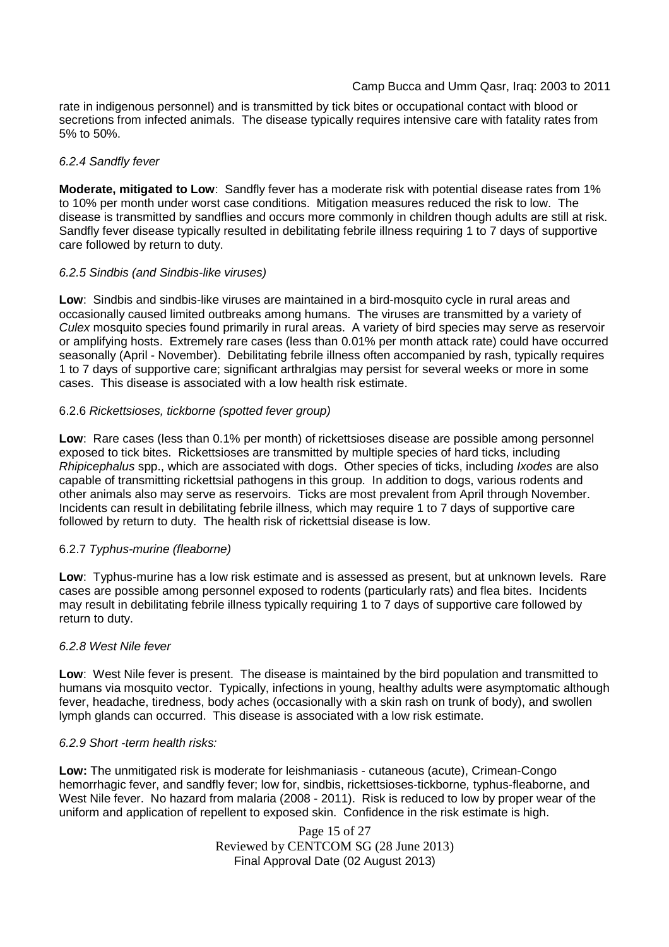rate in indigenous personnel) and is transmitted by tick bites or occupational contact with blood or secretions from infected animals. The disease typically requires intensive care with fatality rates from 5% to 50%.

## *6.2.4 Sandfly fever*

**Moderate, mitigated to Low**: Sandfly fever has a moderate risk with potential disease rates from 1% to 10% per month under worst case conditions. Mitigation measures reduced the risk to low. The disease is transmitted by sandflies and occurs more commonly in children though adults are still at risk. Sandfly fever disease typically resulted in debilitating febrile illness requiring 1 to 7 days of supportive care followed by return to duty.

## *6.2.5 Sindbis (and Sindbis-like viruses)*

**Low**: Sindbis and sindbis-like viruses are maintained in a bird-mosquito cycle in rural areas and occasionally caused limited outbreaks among humans. The viruses are transmitted by a variety of *Culex* mosquito species found primarily in rural areas. A variety of bird species may serve as reservoir or amplifying hosts. Extremely rare cases (less than 0.01% per month attack rate) could have occurred seasonally (April - November). Debilitating febrile illness often accompanied by rash, typically requires 1 to 7 days of supportive care; significant arthralgias may persist for several weeks or more in some cases. This disease is associated with a low health risk estimate.

## 6.2.6 *Rickettsioses, tickborne (spotted fever group)*

**Low**: Rare cases (less than 0.1% per month) of rickettsioses disease are possible among personnel exposed to tick bites. Rickettsioses are transmitted by multiple species of hard ticks, including *Rhipicephalus* spp., which are associated with dogs. Other species of ticks, including *Ixodes* are also capable of transmitting rickettsial pathogens in this group. In addition to dogs, various rodents and other animals also may serve as reservoirs. Ticks are most prevalent from April through November. Incidents can result in debilitating febrile illness, which may require 1 to 7 days of supportive care followed by return to duty. The health risk of rickettsial disease is low.

## 6.2.7 *Typhus-murine (fleaborne)*

**Low**: Typhus-murine has a low risk estimate and is assessed as present, but at unknown levels. Rare cases are possible among personnel exposed to rodents (particularly rats) and flea bites. Incidents may result in debilitating febrile illness typically requiring 1 to 7 days of supportive care followed by return to duty.

### *6.2.8 West Nile fever*

**Low**: West Nile fever is present. The disease is maintained by the bird population and transmitted to humans via mosquito vector. Typically, infections in young, healthy adults were asymptomatic although fever, headache, tiredness, body aches (occasionally with a skin rash on trunk of body), and swollen lymph glands can occurred. This disease is associated with a low risk estimate.

### *6.2.9 Short -term health risks:*

**Low:** The unmitigated risk is moderate for leishmaniasis - cutaneous (acute), Crimean-Congo hemorrhagic fever, and sandfly fever; low for, sindbis, rickettsioses-tickborne*,* typhus-fleaborne, and West Nile fever. No hazard from malaria (2008 - 2011). Risk is reduced to low by proper wear of the uniform and application of repellent to exposed skin. Confidence in the risk estimate is high.

> Page 15 of 27 Reviewed by CENTCOM SG (28 June 2013) Final Approval Date (02 August 2013)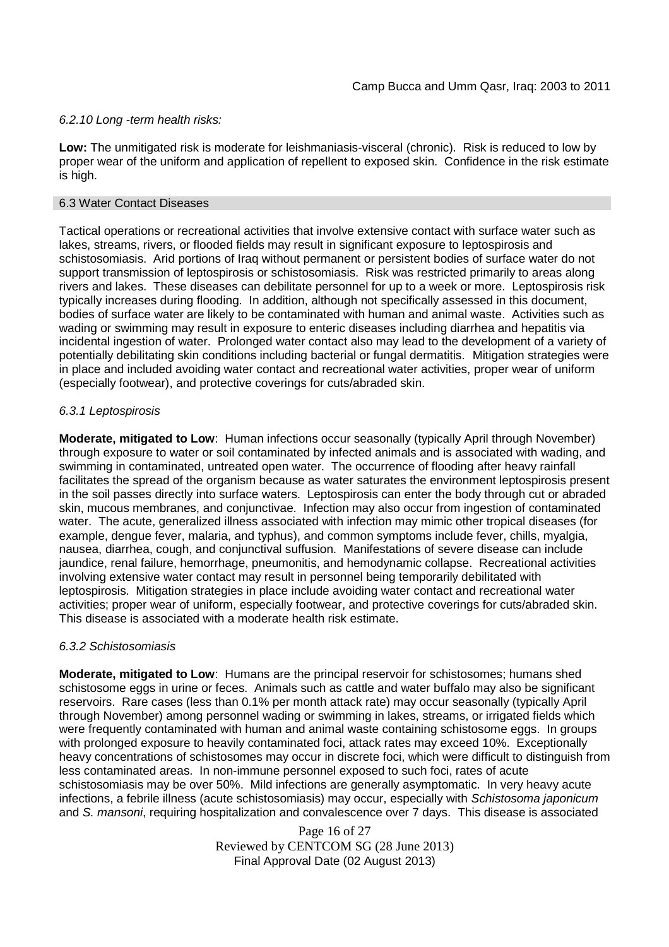## *6.2.10 Long -term health risks:*

**Low:** The unmitigated risk is moderate for leishmaniasis-visceral (chronic). Risk is reduced to low by proper wear of the uniform and application of repellent to exposed skin. Confidence in the risk estimate is high.

## 6.3 Water Contact Diseases

Tactical operations or recreational activities that involve extensive contact with surface water such as lakes, streams, rivers, or flooded fields may result in significant exposure to leptospirosis and schistosomiasis. Arid portions of Iraq without permanent or persistent bodies of surface water do not support transmission of leptospirosis or schistosomiasis. Risk was restricted primarily to areas along rivers and lakes. These diseases can debilitate personnel for up to a week or more. Leptospirosis risk typically increases during flooding. In addition, although not specifically assessed in this document, bodies of surface water are likely to be contaminated with human and animal waste. Activities such as wading or swimming may result in exposure to enteric diseases including diarrhea and hepatitis via incidental ingestion of water. Prolonged water contact also may lead to the development of a variety of potentially debilitating skin conditions including bacterial or fungal dermatitis. Mitigation strategies were in place and included avoiding water contact and recreational water activities, proper wear of uniform (especially footwear), and protective coverings for cuts/abraded skin.

## *6.3.1 Leptospirosis*

**Moderate, mitigated to Low**: Human infections occur seasonally (typically April through November) through exposure to water or soil contaminated by infected animals and is associated with wading, and swimming in contaminated, untreated open water. The occurrence of flooding after heavy rainfall facilitates the spread of the organism because as water saturates the environment leptospirosis present in the soil passes directly into surface waters. Leptospirosis can enter the body through cut or abraded skin, mucous membranes, and conjunctivae. Infection may also occur from ingestion of contaminated water. The acute, generalized illness associated with infection may mimic other tropical diseases (for example, dengue fever, malaria, and typhus), and common symptoms include fever, chills, myalgia, nausea, diarrhea, cough, and conjunctival suffusion. Manifestations of severe disease can include jaundice, renal failure, hemorrhage, pneumonitis, and hemodynamic collapse. Recreational activities involving extensive water contact may result in personnel being temporarily debilitated with leptospirosis. Mitigation strategies in place include avoiding water contact and recreational water activities; proper wear of uniform, especially footwear, and protective coverings for cuts/abraded skin. This disease is associated with a moderate health risk estimate.

## *6.3.2 Schistosomiasis*

**Moderate, mitigated to Low**: Humans are the principal reservoir for schistosomes; humans shed schistosome eggs in urine or feces. Animals such as cattle and water buffalo may also be significant reservoirs. Rare cases (less than 0.1% per month attack rate) may occur seasonally (typically April through November) among personnel wading or swimming in lakes, streams, or irrigated fields which were frequently contaminated with human and animal waste containing schistosome eggs. In groups with prolonged exposure to heavily contaminated foci, attack rates may exceed 10%. Exceptionally heavy concentrations of schistosomes may occur in discrete foci, which were difficult to distinguish from less contaminated areas. In non-immune personnel exposed to such foci, rates of acute schistosomiasis may be over 50%. Mild infections are generally asymptomatic. In very heavy acute infections, a febrile illness (acute schistosomiasis) may occur, especially with *Schistosoma japonicum* and *S. mansoni*, requiring hospitalization and convalescence over 7 days. This disease is associated

> Page 16 of 27 Reviewed by CENTCOM SG (28 June 2013) Final Approval Date (02 August 2013)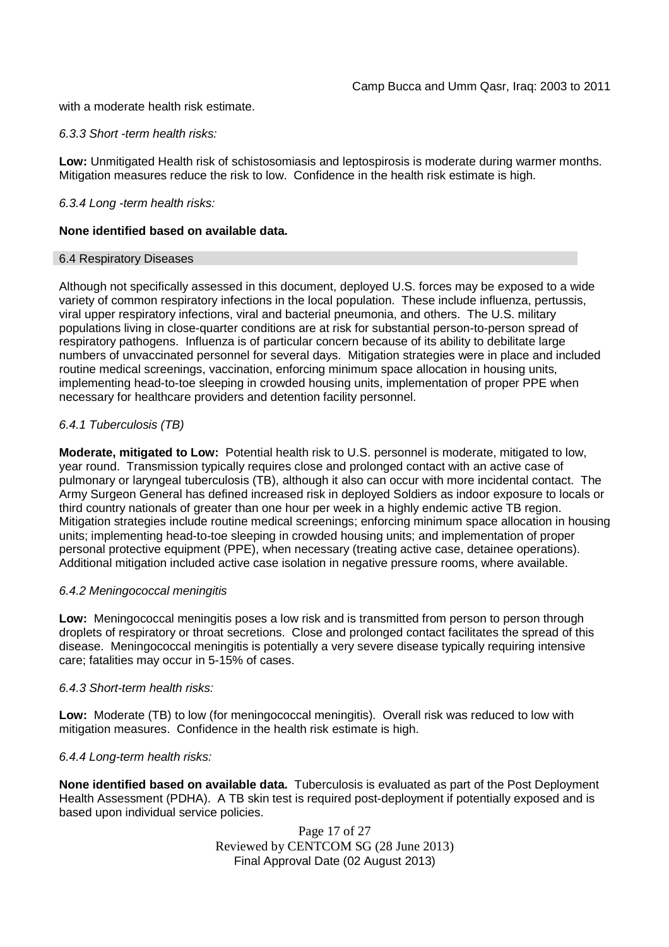with a moderate health risk estimate.

### *6.3.3 Short -term health risks:*

**Low:** Unmitigated Health risk of schistosomiasis and leptospirosis is moderate during warmer months. Mitigation measures reduce the risk to low. Confidence in the health risk estimate is high.

## *6.3.4 Long -term health risks:*

## **None identified based on available data.**

### 6.4 Respiratory Diseases

Although not specifically assessed in this document, deployed U.S. forces may be exposed to a wide variety of common respiratory infections in the local population. These include influenza, pertussis, viral upper respiratory infections, viral and bacterial pneumonia, and others. The U.S. military populations living in close-quarter conditions are at risk for substantial person-to-person spread of respiratory pathogens. Influenza is of particular concern because of its ability to debilitate large numbers of unvaccinated personnel for several days. Mitigation strategies were in place and included routine medical screenings, vaccination, enforcing minimum space allocation in housing units, implementing head-to-toe sleeping in crowded housing units, implementation of proper PPE when necessary for healthcare providers and detention facility personnel.

## *6.4.1 Tuberculosis (TB)*

**Moderate, mitigated to Low:** Potential health risk to U.S. personnel is moderate, mitigated to low, year round. Transmission typically requires close and prolonged contact with an active case of pulmonary or laryngeal tuberculosis (TB), although it also can occur with more incidental contact. The Army Surgeon General has defined increased risk in deployed Soldiers as indoor exposure to locals or third country nationals of greater than one hour per week in a highly endemic active TB region. Mitigation strategies include routine medical screenings; enforcing minimum space allocation in housing units; implementing head-to-toe sleeping in crowded housing units; and implementation of proper personal protective equipment (PPE), when necessary (treating active case, detainee operations). Additional mitigation included active case isolation in negative pressure rooms, where available.

### *6.4.2 Meningococcal meningitis*

**Low:** Meningococcal meningitis poses a low risk and is transmitted from person to person through droplets of respiratory or throat secretions. Close and prolonged contact facilitates the spread of this disease. Meningococcal meningitis is potentially a very severe disease typically requiring intensive care; fatalities may occur in 5-15% of cases.

### *6.4.3 Short-term health risks:*

**Low:** Moderate (TB) to low (for meningococcal meningitis). Overall risk was reduced to low with mitigation measures. Confidence in the health risk estimate is high.

### *6.4.4 Long-term health risks:*

**None identified based on available data.** Tuberculosis is evaluated as part of the Post Deployment Health Assessment (PDHA). A TB skin test is required post-deployment if potentially exposed and is based upon individual service policies.

> Page 17 of 27 Reviewed by CENTCOM SG (28 June 2013) Final Approval Date (02 August 2013)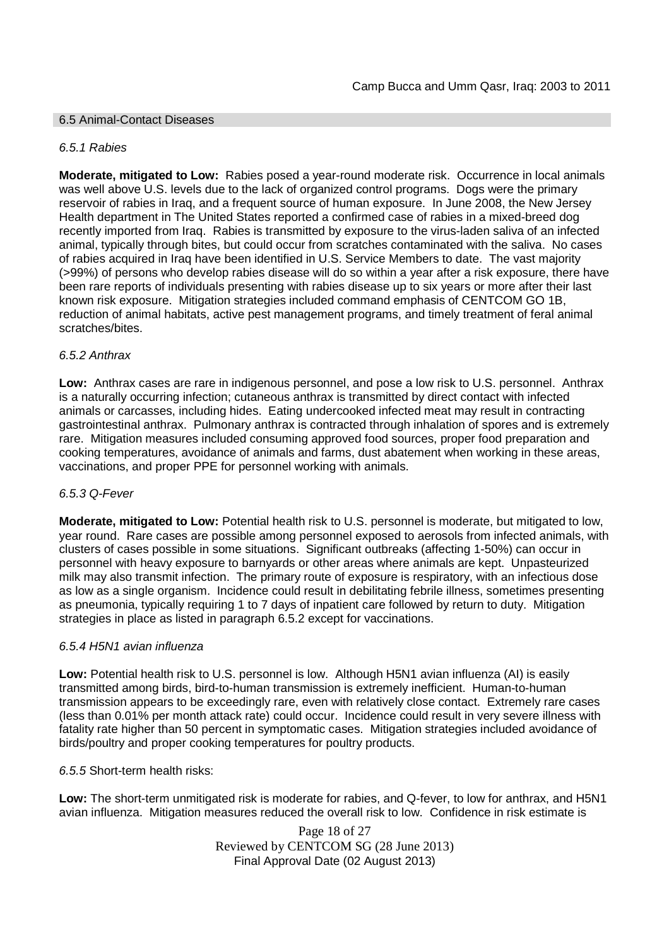### 6.5 Animal-Contact Diseases

#### *6.5.1 Rabies*

**Moderate, mitigated to Low:** Rabies posed a year-round moderate risk. Occurrence in local animals was well above U.S. levels due to the lack of organized control programs. Dogs were the primary reservoir of rabies in Iraq, and a frequent source of human exposure. In June 2008, the New Jersey Health department in The United States reported a confirmed case of rabies in a mixed-breed dog recently imported from Iraq. Rabies is transmitted by exposure to the virus-laden saliva of an infected animal, typically through bites, but could occur from scratches contaminated with the saliva. No cases of rabies acquired in Iraq have been identified in U.S. Service Members to date. The vast majority (>99%) of persons who develop rabies disease will do so within a year after a risk exposure, there have been rare reports of individuals presenting with rabies disease up to six years or more after their last known risk exposure. Mitigation strategies included command emphasis of CENTCOM GO 1B, reduction of animal habitats, active pest management programs, and timely treatment of feral animal scratches/bites.

#### *6.5.2 Anthrax*

**Low:** Anthrax cases are rare in indigenous personnel, and pose a low risk to U.S. personnel. Anthrax is a naturally occurring infection; cutaneous anthrax is transmitted by direct contact with infected animals or carcasses, including hides. Eating undercooked infected meat may result in contracting gastrointestinal anthrax. Pulmonary anthrax is contracted through inhalation of spores and is extremely rare. Mitigation measures included consuming approved food sources, proper food preparation and cooking temperatures, avoidance of animals and farms, dust abatement when working in these areas, vaccinations, and proper PPE for personnel working with animals.

### *6.5.3 Q-Fever*

**Moderate, mitigated to Low:** Potential health risk to U.S. personnel is moderate, but mitigated to low, year round. Rare cases are possible among personnel exposed to aerosols from infected animals, with clusters of cases possible in some situations. Significant outbreaks (affecting 1-50%) can occur in personnel with heavy exposure to barnyards or other areas where animals are kept. Unpasteurized milk may also transmit infection. The primary route of exposure is respiratory, with an infectious dose as low as a single organism. Incidence could result in debilitating febrile illness, sometimes presenting as pneumonia, typically requiring 1 to 7 days of inpatient care followed by return to duty. Mitigation strategies in place as listed in paragraph 6.5.2 except for vaccinations.

### *6.5.4 H5N1 avian influenza*

**Low:** Potential health risk to U.S. personnel is low. Although H5N1 avian influenza (AI) is easily transmitted among birds, bird-to-human transmission is extremely inefficient. Human-to-human transmission appears to be exceedingly rare, even with relatively close contact. Extremely rare cases (less than 0.01% per month attack rate) could occur. Incidence could result in very severe illness with fatality rate higher than 50 percent in symptomatic cases. Mitigation strategies included avoidance of birds/poultry and proper cooking temperatures for poultry products.

*6.5.5* Short-term health risks:

**Low:** The short-term unmitigated risk is moderate for rabies, and Q-fever, to low for anthrax, and H5N1 avian influenza. Mitigation measures reduced the overall risk to low. Confidence in risk estimate is

> Page 18 of 27 Reviewed by CENTCOM SG (28 June 2013) Final Approval Date (02 August 2013)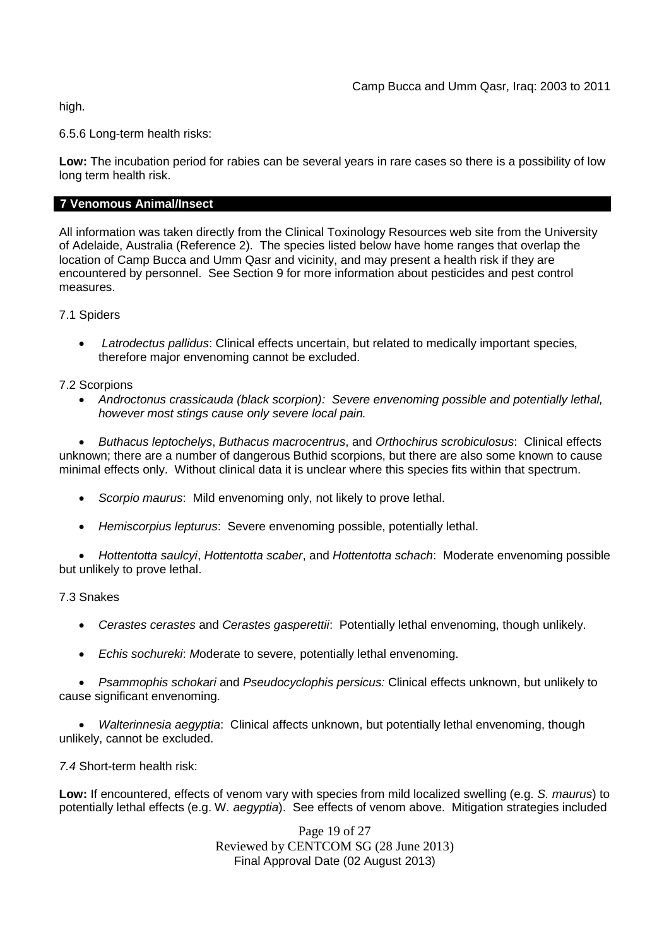high.

6.5.6 Long-term health risks:

**Low:** The incubation period for rabies can be several years in rare cases so there is a possibility of low long term health risk.

## **7 Venomous Animal/Insect**

All information was taken directly from the Clinical Toxinology Resources web site from the University of Adelaide, Australia (Reference 2). The species listed below have home ranges that overlap the location of Camp Bucca and Umm Qasr and vicinity, and may present a health risk if they are encountered by personnel. See Section 9 for more information about pesticides and pest control measures.

7.1 Spiders

 *Latrodectus pallidus*: Clinical effects uncertain, but related to medically important species, therefore major envenoming cannot be excluded.

7.2 Scorpions

 *Androctonus crassicauda (black scorpion): Severe envenoming possible and potentially lethal, however most stings cause only severe local pain.*

 *Buthacus leptochelys*, *Buthacus macrocentrus*, and *Orthochirus scrobiculosus*: Clinical effects unknown; there are a number of dangerous Buthid scorpions, but there are also some known to cause minimal effects only. Without clinical data it is unclear where this species fits within that spectrum.

- *Scorpio maurus*: Mild envenoming only, not likely to prove lethal.
- *Hemiscorpius lepturus*: Severe envenoming possible, potentially lethal.

 *Hottentotta saulcyi*, *Hottentotta scaber*, and *Hottentotta schach*: Moderate envenoming possible but unlikely to prove lethal.

7.3 Snakes

- *Cerastes cerastes* and *Cerastes gasperettii*: Potentially lethal envenoming, though unlikely.
- *Echis sochureki*: *M*oderate to severe, potentially lethal envenoming.

 *Psammophis schokari* and *Pseudocyclophis persicus:* Clinical effects unknown, but unlikely to cause significant envenoming.

 *Walterinnesia aegyptia*: Clinical affects unknown, but potentially lethal envenoming, though unlikely, cannot be excluded.

*7.4* Short-term health risk:

**Low:** If encountered, effects of venom vary with species from mild localized swelling (e.g. *S. maurus*) to potentially lethal effects (e.g. W*. aegyptia*). See effects of venom above. Mitigation strategies included

> Page 19 of 27 Reviewed by CENTCOM SG (28 June 2013) Final Approval Date (02 August 2013)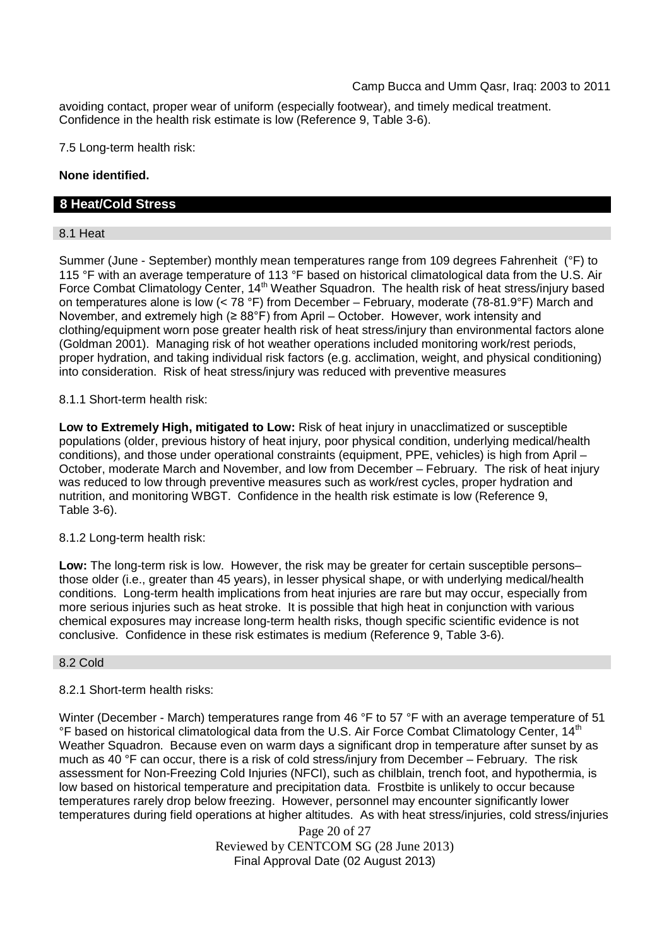avoiding contact, proper wear of uniform (especially footwear), and timely medical treatment. Confidence in the health risk estimate is low (Reference 9, Table 3-6).

7.5 Long-term health risk:

## **None identified.**

## **8 Heat/Cold Stress**

## 8.1 Heat

Summer (June - September) monthly mean temperatures range from 109 degrees Fahrenheit (°F) to 115 °F with an average temperature of 113 °F based on historical climatological data from the U.S. Air Force Combat Climatology Center, 14<sup>th</sup> Weather Squadron. The health risk of heat stress/injury based on temperatures alone is low (< 78 °F) from December – February, moderate (78-81.9°F) March and November, and extremely high (≥ 88°F) from April – October. However, work intensity and clothing/equipment worn pose greater health risk of heat stress/injury than environmental factors alone (Goldman 2001). Managing risk of hot weather operations included monitoring work/rest periods, proper hydration, and taking individual risk factors (e.g. acclimation, weight, and physical conditioning) into consideration. Risk of heat stress/injury was reduced with preventive measures

## 8.1.1 Short-term health risk:

**Low to Extremely High, mitigated to Low:** Risk of heat injury in unacclimatized or susceptible populations (older, previous history of heat injury, poor physical condition, underlying medical/health conditions), and those under operational constraints (equipment, PPE, vehicles) is high from April – October, moderate March and November, and low from December – February. The risk of heat injury was reduced to low through preventive measures such as work/rest cycles, proper hydration and nutrition, and monitoring WBGT. Confidence in the health risk estimate is low (Reference 9, Table 3-6).

### 8.1.2 Long-term health risk:

**Low:** The long-term risk is low. However, the risk may be greater for certain susceptible persons– those older (i.e., greater than 45 years), in lesser physical shape, or with underlying medical/health conditions. Long-term health implications from heat injuries are rare but may occur, especially from more serious injuries such as heat stroke. It is possible that high heat in conjunction with various chemical exposures may increase long-term health risks, though specific scientific evidence is not conclusive. Confidence in these risk estimates is medium (Reference 9, Table 3-6).

### 8.2 Cold

## 8.2.1 Short-term health risks:

Winter (December - March) temperatures range from 46 °F to 57 °F with an average temperature of 51 °F based on historical climatological data from the U.S. Air Force Combat Climatology Center, 14<sup>th</sup> Weather Squadron. Because even on warm days a significant drop in temperature after sunset by as much as 40 °F can occur, there is a risk of cold stress/injury from December – February. The risk assessment for Non-Freezing Cold Injuries (NFCI), such as chilblain, trench foot, and hypothermia, is low based on historical temperature and precipitation data. Frostbite is unlikely to occur because temperatures rarely drop below freezing. However, personnel may encounter significantly lower temperatures during field operations at higher altitudes. As with heat stress/injuries, cold stress/injuries

> Page 20 of 27 Reviewed by CENTCOM SG (28 June 2013) Final Approval Date (02 August 2013)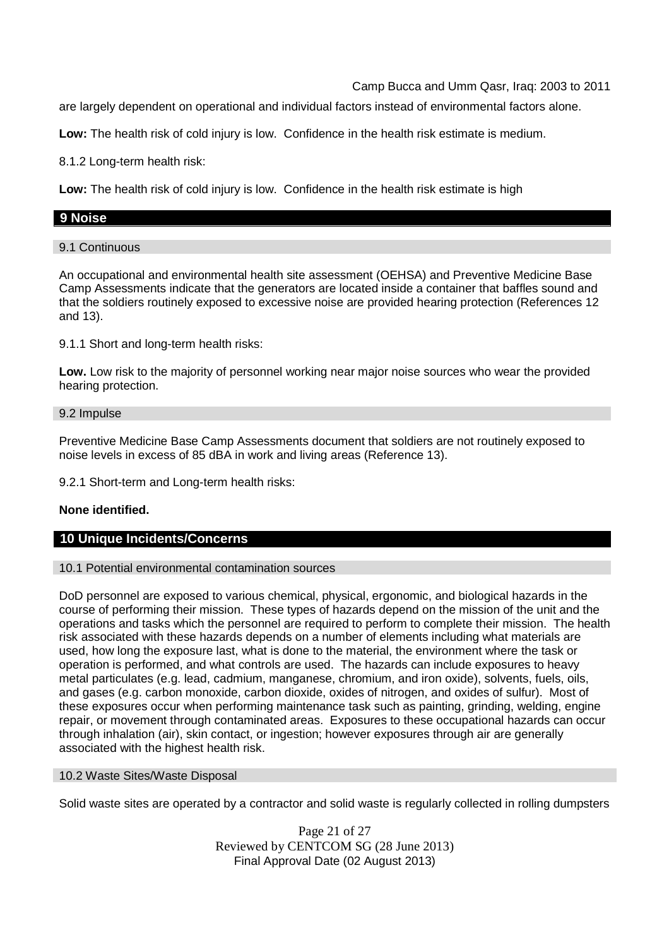are largely dependent on operational and individual factors instead of environmental factors alone.

**Low:** The health risk of cold injury is low. Confidence in the health risk estimate is medium.

8.1.2 Long-term health risk:

**Low:** The health risk of cold injury is low. Confidence in the health risk estimate is high

## **9 Noise**

### 9.1 Continuous

An occupational and environmental health site assessment (OEHSA) and Preventive Medicine Base Camp Assessments indicate that the generators are located inside a container that baffles sound and that the soldiers routinely exposed to excessive noise are provided hearing protection (References 12 and 13).

9.1.1 Short and long-term health risks:

**Low.** Low risk to the majority of personnel working near major noise sources who wear the provided hearing protection.

#### 9.2 Impulse

Preventive Medicine Base Camp Assessments document that soldiers are not routinely exposed to noise levels in excess of 85 dBA in work and living areas (Reference 13).

9.2.1 Short-term and Long-term health risks:

### **None identified.**

## **10 Unique Incidents/Concerns**

### 10.1 Potential environmental contamination sources

DoD personnel are exposed to various chemical, physical, ergonomic, and biological hazards in the course of performing their mission. These types of hazards depend on the mission of the unit and the operations and tasks which the personnel are required to perform to complete their mission. The health risk associated with these hazards depends on a number of elements including what materials are used, how long the exposure last, what is done to the material, the environment where the task or operation is performed, and what controls are used. The hazards can include exposures to heavy metal particulates (e.g. lead, cadmium, manganese, chromium, and iron oxide), solvents, fuels, oils, and gases (e.g. carbon monoxide, carbon dioxide, oxides of nitrogen, and oxides of sulfur). Most of these exposures occur when performing maintenance task such as painting, grinding, welding, engine repair, or movement through contaminated areas. Exposures to these occupational hazards can occur through inhalation (air), skin contact, or ingestion; however exposures through air are generally associated with the highest health risk.

### 10.2 Waste Sites/Waste Disposal

Solid waste sites are operated by a contractor and solid waste is regularly collected in rolling dumpsters

Page 21 of 27 Reviewed by CENTCOM SG (28 June 2013) Final Approval Date (02 August 2013)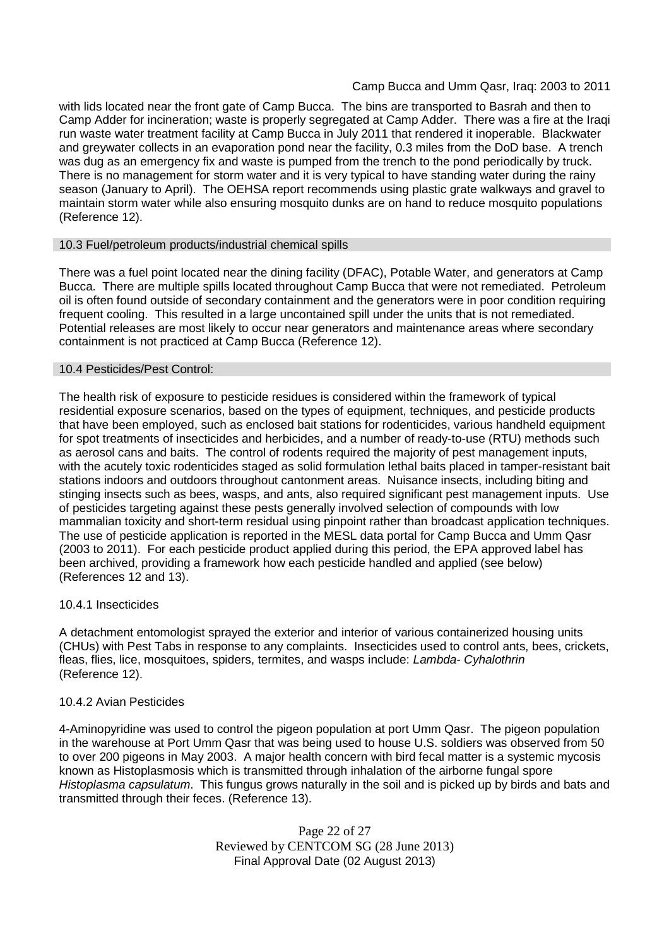with lids located near the front gate of Camp Bucca. The bins are transported to Basrah and then to Camp Adder for incineration; waste is properly segregated at Camp Adder. There was a fire at the Iraqi run waste water treatment facility at Camp Bucca in July 2011 that rendered it inoperable. Blackwater and greywater collects in an evaporation pond near the facility, 0.3 miles from the DoD base. A trench was dug as an emergency fix and waste is pumped from the trench to the pond periodically by truck. There is no management for storm water and it is very typical to have standing water during the rainy season (January to April). The OEHSA report recommends using plastic grate walkways and gravel to maintain storm water while also ensuring mosquito dunks are on hand to reduce mosquito populations (Reference 12).

### 10.3 Fuel/petroleum products/industrial chemical spills

There was a fuel point located near the dining facility (DFAC), Potable Water, and generators at Camp Bucca. There are multiple spills located throughout Camp Bucca that were not remediated. Petroleum oil is often found outside of secondary containment and the generators were in poor condition requiring frequent cooling. This resulted in a large uncontained spill under the units that is not remediated. Potential releases are most likely to occur near generators and maintenance areas where secondary containment is not practiced at Camp Bucca (Reference 12).

### 10.4 Pesticides/Pest Control:

The health risk of exposure to pesticide residues is considered within the framework of typical residential exposure scenarios, based on the types of equipment, techniques, and pesticide products that have been employed, such as enclosed bait stations for rodenticides, various handheld equipment for spot treatments of insecticides and herbicides, and a number of ready-to-use (RTU) methods such as aerosol cans and baits. The control of rodents required the majority of pest management inputs, with the acutely toxic rodenticides staged as solid formulation lethal baits placed in tamper-resistant bait stations indoors and outdoors throughout cantonment areas. Nuisance insects, including biting and stinging insects such as bees, wasps, and ants, also required significant pest management inputs. Use of pesticides targeting against these pests generally involved selection of compounds with low mammalian toxicity and short-term residual using pinpoint rather than broadcast application techniques. The use of pesticide application is reported in the MESL data portal for Camp Bucca and Umm Qasr (2003 to 2011). For each pesticide product applied during this period, the EPA approved label has been archived, providing a framework how each pesticide handled and applied (see below) (References 12 and 13).

## 10.4.1 Insecticides

A detachment entomologist sprayed the exterior and interior of various containerized housing units (CHUs) with Pest Tabs in response to any complaints. Insecticides used to control ants, bees, crickets, fleas, flies, lice, mosquitoes, spiders, termites, and wasps include: *Lambda- Cyhalothrin* (Reference 12).

## 10.4.2 Avian Pesticides

4-Aminopyridine was used to control the pigeon population at port Umm Qasr. The pigeon population in the warehouse at Port Umm Qasr that was being used to house U.S. soldiers was observed from 50 to over 200 pigeons in May 2003. A major health concern with bird fecal matter is a systemic mycosis known as Histoplasmosis which is transmitted through inhalation of the airborne fungal spore *Histoplasma capsulatum*. This fungus grows naturally in the soil and is picked up by birds and bats and transmitted through their feces. (Reference 13).

> Page 22 of 27 Reviewed by CENTCOM SG (28 June 2013) Final Approval Date (02 August 2013)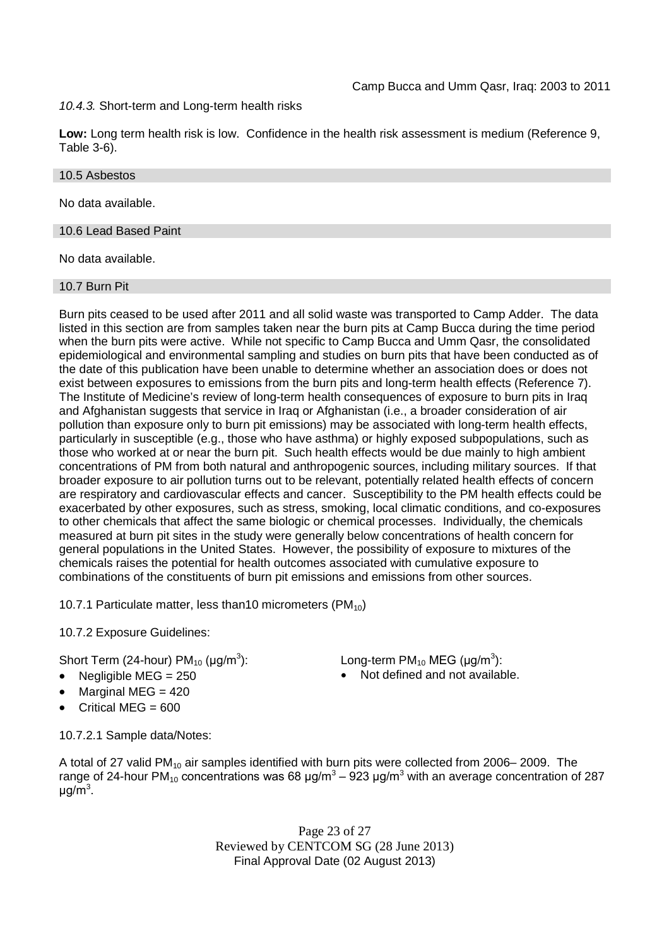## *10.4.3.* Short-term and Long-term health risks

**Low:** Long term health risk is low. Confidence in the health risk assessment is medium (Reference 9, Table 3-6).

## 10.5 Asbestos

No data available.

### 10.6 Lead Based Paint

No data available.

### 10.7 Burn Pit

Burn pits ceased to be used after 2011 and all solid waste was transported to Camp Adder. The data listed in this section are from samples taken near the burn pits at Camp Bucca during the time period when the burn pits were active. While not specific to Camp Bucca and Umm Qasr, the consolidated epidemiological and environmental sampling and studies on burn pits that have been conducted as of the date of this publication have been unable to determine whether an association does or does not exist between exposures to emissions from the burn pits and long-term health effects (Reference 7). The Institute of Medicine's review of long-term health consequences of exposure to burn pits in Iraq and Afghanistan suggests that service in Iraq or Afghanistan (i.e., a broader consideration of air pollution than exposure only to burn pit emissions) may be associated with long-term health effects, particularly in susceptible (e.g., those who have asthma) or highly exposed subpopulations, such as those who worked at or near the burn pit. Such health effects would be due mainly to high ambient concentrations of PM from both natural and anthropogenic sources, including military sources. If that broader exposure to air pollution turns out to be relevant, potentially related health effects of concern are respiratory and cardiovascular effects and cancer. Susceptibility to the PM health effects could be exacerbated by other exposures, such as stress, smoking, local climatic conditions, and co-exposures to other chemicals that affect the same biologic or chemical processes. Individually, the chemicals measured at burn pit sites in the study were generally below concentrations of health concern for general populations in the United States. However, the possibility of exposure to mixtures of the chemicals raises the potential for health outcomes associated with cumulative exposure to combinations of the constituents of burn pit emissions and emissions from other sources.

10.7.1 Particulate matter, less than 10 micrometers ( $PM_{10}$ )

10.7.2 Exposure Guidelines:

Short Term (24-hour) PM $_{10}$  (µg/m $^3$ 

- 
- Marginal MEG  $=$  420
- Critical MEG  $= 600$

): Long-term PM<sub>10</sub> MEG (µg/m<sup>3</sup>): Negligible  $MEG = 250$   $Nct$  defined and not available.

10.7.2.1 Sample data/Notes:

A total of 27 valid PM<sub>10</sub> air samples identified with burn pits were collected from 2006–2009. The range of 24-hour PM<sub>10</sub> concentrations was 68 μg/m<sup>3</sup> – 923 μg/m<sup>3</sup> with an average concentration of 287 μg/m<sup>3</sup>.

> Page 23 of 27 Reviewed by CENTCOM SG (28 June 2013) Final Approval Date (02 August 2013)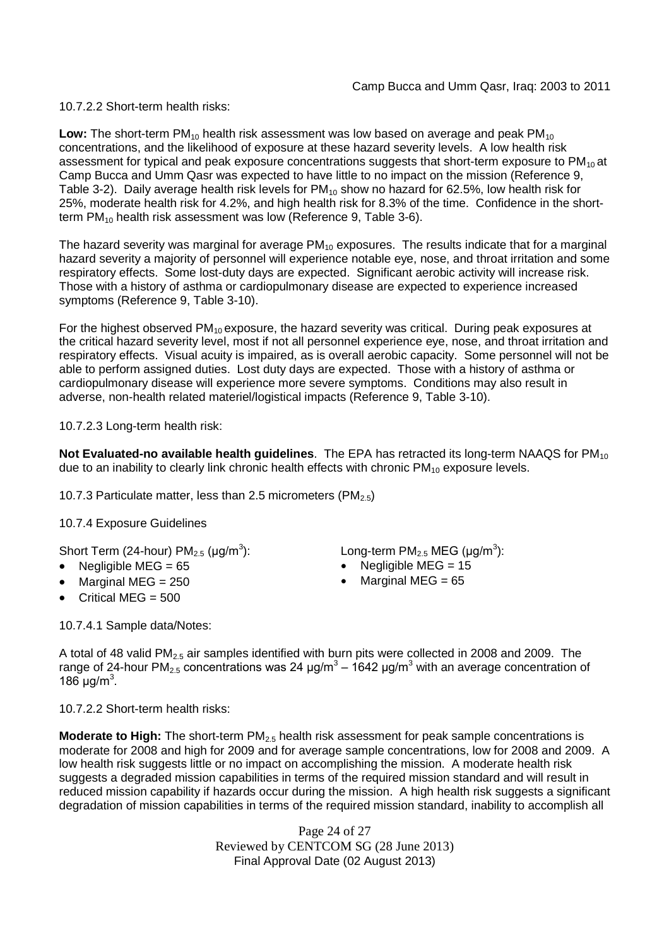10.7.2.2 Short-term health risks:

**Low:** The short-term  $PM_{10}$  health risk assessment was low based on average and peak  $PM_{10}$ concentrations, and the likelihood of exposure at these hazard severity levels. A low health risk assessment for typical and peak exposure concentrations suggests that short-term exposure to PM<sub>10</sub> at Camp Bucca and Umm Qasr was expected to have little to no impact on the mission (Reference 9, Table 3-2). Daily average health risk levels for  $PM_{10}$  show no hazard for 62.5%, low health risk for 25%, moderate health risk for 4.2%, and high health risk for 8.3% of the time. Confidence in the shortterm PM<sub>10</sub> health risk assessment was low (Reference 9, Table 3-6).

The hazard severity was marginal for average  $PM_{10}$  exposures. The results indicate that for a marginal hazard severity a majority of personnel will experience notable eye, nose, and throat irritation and some respiratory effects. Some lost-duty days are expected. Significant aerobic activity will increase risk. Those with a history of asthma or cardiopulmonary disease are expected to experience increased symptoms (Reference 9, Table 3-10).

For the highest observed  $PM_{10}$  exposure, the hazard severity was critical. During peak exposures at the critical hazard severity level, most if not all personnel experience eye, nose, and throat irritation and respiratory effects. Visual acuity is impaired, as is overall aerobic capacity. Some personnel will not be able to perform assigned duties. Lost duty days are expected. Those with a history of asthma or cardiopulmonary disease will experience more severe symptoms. Conditions may also result in adverse, non-health related materiel/logistical impacts (Reference 9, Table 3-10).

10.7.2.3 Long-term health risk:

**Not Evaluated-no available health quidelines**. The EPA has retracted its long-term NAAQS for PM<sub>10</sub> due to an inability to clearly link chronic health effects with chronic  $PM_{10}$  exposure levels.

10.7.3 Particulate matter, less than 2.5 micrometers (PM<sub>2.5</sub>)

10.7.4 Exposure Guidelines

Short Term (24-hour) PM $_{2.5}$  (µg/m $^3$ 

- 
- Marginal MEG =  $250$   $\bullet$  Marginal MEG =  $65$
- Critical MEG =  $500$

): Long-term PM<sub>2.5</sub> MEG ( $\mu$ g/m<sup>3</sup>):

- Negligible MEG = 65 Negligible MEG = 15
	-

10.7.4.1 Sample data/Notes:

A total of 48 valid PM2.5 air samples identified with burn pits were collected in 2008 and 2009. The range of 24-hour PM<sub>2.5</sub> concentrations was 24 μg/m<sup>3</sup> – 1642 μg/m<sup>3</sup> with an average concentration of 186 μg/m<sup>3</sup>.

10.7.2.2 Short-term health risks:

**Moderate to High:** The short-term PM<sub>2.5</sub> health risk assessment for peak sample concentrations is moderate for 2008 and high for 2009 and for average sample concentrations, low for 2008 and 2009. A low health risk suggests little or no impact on accomplishing the mission. A moderate health risk suggests a degraded mission capabilities in terms of the required mission standard and will result in reduced mission capability if hazards occur during the mission. A high health risk suggests a significant degradation of mission capabilities in terms of the required mission standard, inability to accomplish all

> Page 24 of 27 Reviewed by CENTCOM SG (28 June 2013) Final Approval Date (02 August 2013)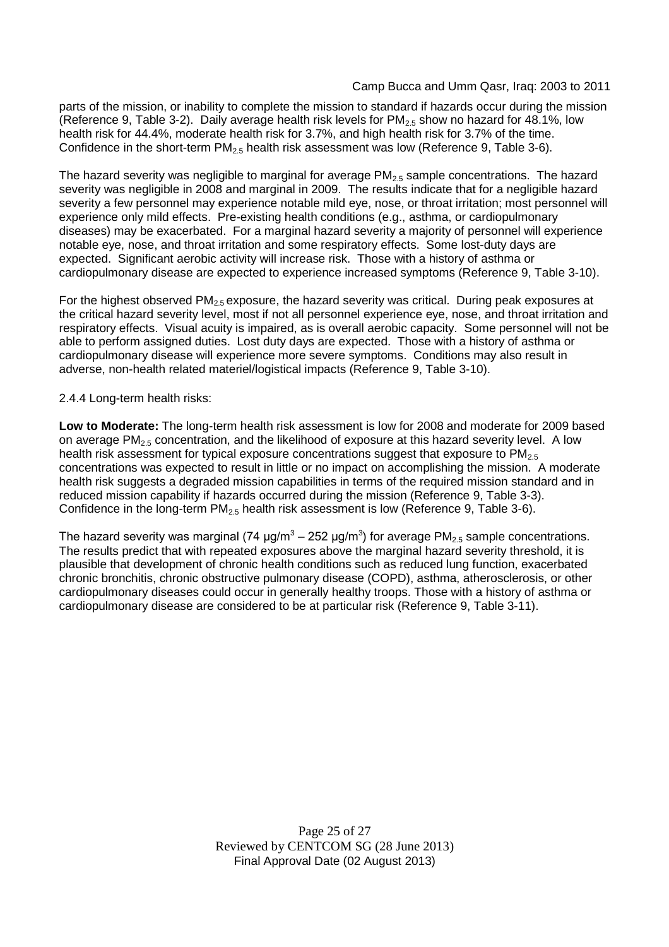parts of the mission, or inability to complete the mission to standard if hazards occur during the mission (Reference 9, Table 3-2). Daily average health risk levels for  $PM_{25}$  show no hazard for 48.1%, low health risk for 44.4%, moderate health risk for 3.7%, and high health risk for 3.7% of the time. Confidence in the short-term  $PM_{2.5}$  health risk assessment was low (Reference 9, Table 3-6).

The hazard severity was negligible to marginal for average  $PM_{2.5}$  sample concentrations. The hazard severity was negligible in 2008 and marginal in 2009. The results indicate that for a negligible hazard severity a few personnel may experience notable mild eye, nose, or throat irritation; most personnel will experience only mild effects. Pre-existing health conditions (e.g., asthma, or cardiopulmonary diseases) may be exacerbated. For a marginal hazard severity a majority of personnel will experience notable eye, nose, and throat irritation and some respiratory effects. Some lost-duty days are expected. Significant aerobic activity will increase risk. Those with a history of asthma or cardiopulmonary disease are expected to experience increased symptoms (Reference 9, Table 3-10).

For the highest observed  $PM_{2.5}$  exposure, the hazard severity was critical. During peak exposures at the critical hazard severity level, most if not all personnel experience eye, nose, and throat irritation and respiratory effects. Visual acuity is impaired, as is overall aerobic capacity. Some personnel will not be able to perform assigned duties. Lost duty days are expected. Those with a history of asthma or cardiopulmonary disease will experience more severe symptoms. Conditions may also result in adverse, non-health related materiel/logistical impacts (Reference 9, Table 3-10).

## 2.4.4 Long-term health risks:

**Low to Moderate:** The long-term health risk assessment is low for 2008 and moderate for 2009 based on average PM<sub>2.5</sub> concentration, and the likelihood of exposure at this hazard severity level. A low health risk assessment for typical exposure concentrations suggest that exposure to PM<sub>2.5</sub> concentrations was expected to result in little or no impact on accomplishing the mission. A moderate health risk suggests a degraded mission capabilities in terms of the required mission standard and in reduced mission capability if hazards occurred during the mission (Reference 9, Table 3-3). Confidence in the long-term  $PM<sub>2.5</sub>$  health risk assessment is low (Reference 9, Table 3-6).

The hazard severity was marginal (74  $\mu$ g/m<sup>3</sup> – 252  $\mu$ g/m<sup>3</sup>) for average PM<sub>2.5</sub> sample concentrations. The results predict that with repeated exposures above the marginal hazard severity threshold, it is plausible that development of chronic health conditions such as reduced lung function, exacerbated chronic bronchitis, chronic obstructive pulmonary disease (COPD), asthma, atherosclerosis, or other cardiopulmonary diseases could occur in generally healthy troops. Those with a history of asthma or cardiopulmonary disease are considered to be at particular risk (Reference 9, Table 3-11).

> Page 25 of 27 Reviewed by CENTCOM SG (28 June 2013) Final Approval Date (02 August 2013)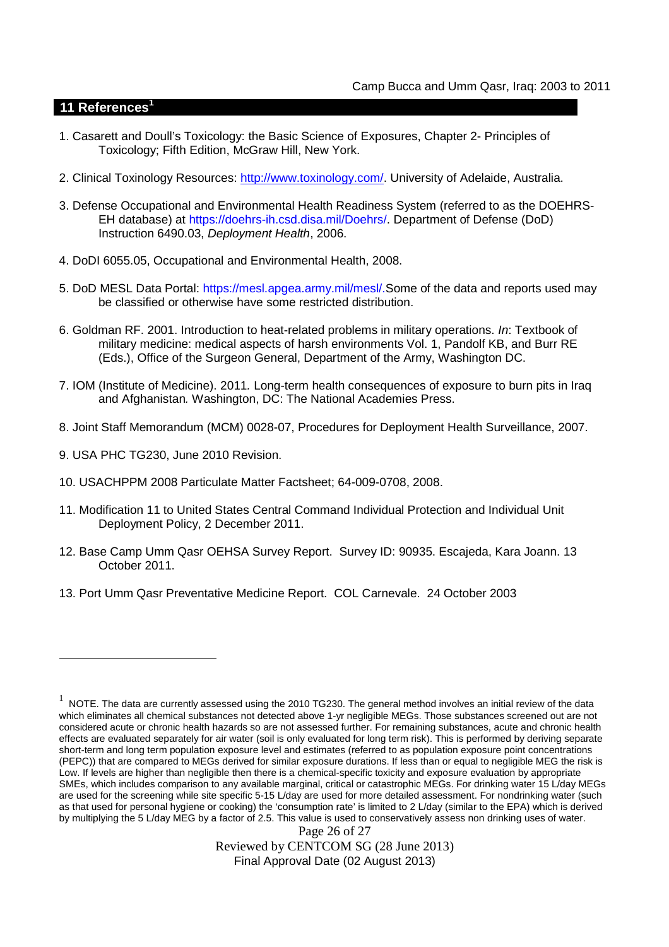## **11 References<sup>1</sup>**

- 1. Casarett and Doull's Toxicology: the Basic Science of Exposures, Chapter 2- Principles of Toxicology; Fifth Edition, McGraw Hill, New York.
- 2. Clinical Toxinology Resources: http://www.toxinology.com/. University of Adelaide, Australia.
- 3. Defense Occupational and Environmental Health Readiness System (referred to as the DOEHRS-EH database) at https://doehrs-ih.csd.disa.mil/Doehrs/. Department of Defense (DoD) Instruction 6490.03, *Deployment Health*, 2006.
- 4. DoDI 6055.05, Occupational and Environmental Health, 2008.
- 5. DoD MESL Data Portal: https://mesl.apgea.army.mil/mesl/.Some of the data and reports used may be classified or otherwise have some restricted distribution.
- 6. Goldman RF. 2001. Introduction to heat-related problems in military operations. *In*: Textbook of military medicine: medical aspects of harsh environments Vol. 1, Pandolf KB, and Burr RE (Eds.), Office of the Surgeon General, Department of the Army, Washington DC.
- 7. IOM (Institute of Medicine). 2011*.* Long-term health consequences of exposure to burn pits in Iraq and Afghanistan*.* Washington, DC: The National Academies Press.
- 8. Joint Staff Memorandum (MCM) 0028-07, Procedures for Deployment Health Surveillance, 2007.
- 9. USA PHC TG230, June 2010 Revision.
- 10. USACHPPM 2008 Particulate Matter Factsheet; 64-009-0708, 2008.
- 11. Modification 11 to United States Central Command Individual Protection and Individual Unit Deployment Policy, 2 December 2011.
- 12. Base Camp Umm Qasr OEHSA Survey Report. Survey ID: 90935. Escajeda, Kara Joann. 13 October 2011.
- 13. Port Umm Qasr Preventative Medicine Report. COL Carnevale. 24 October 2003

Page 26 of 27 Reviewed by CENTCOM SG (28 June 2013) Final Approval Date (02 August 2013)

<sup>1</sup> NOTE. The data are currently assessed using the 2010 TG230. The general method involves an initial review of the data which eliminates all chemical substances not detected above 1-yr negligible MEGs. Those substances screened out are not considered acute or chronic health hazards so are not assessed further. For remaining substances, acute and chronic health effects are evaluated separately for air water (soil is only evaluated for long term risk). This is performed by deriving separate short-term and long term population exposure level and estimates (referred to as population exposure point concentrations (PEPC)) that are compared to MEGs derived for similar exposure durations. If less than or equal to negligible MEG the risk is Low. If levels are higher than negligible then there is a chemical-specific toxicity and exposure evaluation by appropriate SMEs, which includes comparison to any available marginal, critical or catastrophic MEGs. For drinking water 15 L/day MEGs are used for the screening while site specific 5-15 L/day are used for more detailed assessment. For nondrinking water (such as that used for personal hygiene or cooking) the 'consumption rate' is limited to 2 L/day (similar to the EPA) which is derived by multiplying the 5 L/day MEG by a factor of 2.5. This value is used to conservatively assess non drinking uses of water.